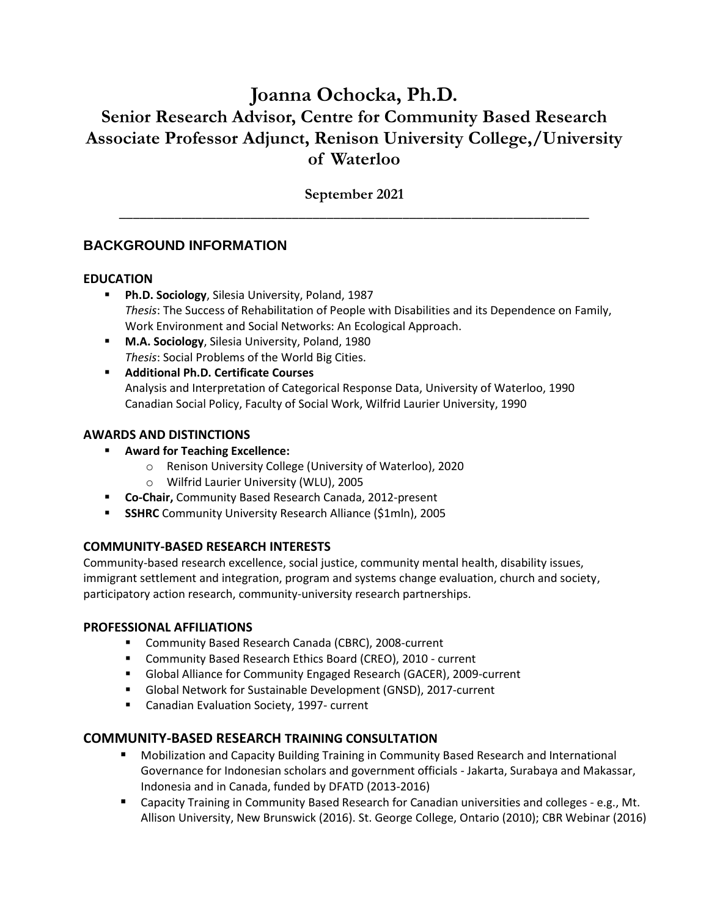# **Joanna Ochocka, Ph.D. Senior Research Advisor, Centre for Community Based Research Associate Professor Adjunct, Renison University College,/University of Waterloo**

**September 2021** \_\_\_\_\_\_\_\_\_\_\_\_\_\_\_\_\_\_\_\_\_\_\_\_\_\_\_\_\_\_\_\_\_\_\_\_\_\_\_\_\_\_\_\_\_\_\_\_\_\_\_\_\_\_\_\_\_\_\_\_\_\_\_\_\_\_\_\_

# **BACKGROUND INFORMATION**

# **EDUCATION**

- **Ph.D. Sociology**, Silesia University, Poland, 1987 *Thesis*: The Success of Rehabilitation of People with Disabilities and its Dependence on Family, Work Environment and Social Networks: An Ecological Approach.
- **M.A. Sociology**, Silesia University, Poland, 1980 *Thesis*: Social Problems of the World Big Cities.
- **Additional Ph.D. Certificate Courses** Analysis and Interpretation of Categorical Response Data, University of Waterloo, 1990 Canadian Social Policy, Faculty of Social Work, Wilfrid Laurier University, 1990

# **AWARDS AND DISTINCTIONS**

- **Award for Teaching Excellence:**
	- o Renison University College (University of Waterloo), 2020
	- o Wilfrid Laurier University (WLU), 2005
- **Co-Chair,** Community Based Research Canada, 2012-present
- **SSHRC** Community University Research Alliance (\$1mln), 2005

# **COMMUNITY-BASED RESEARCH INTERESTS**

Community-based research excellence, social justice, community mental health, disability issues, immigrant settlement and integration, program and systems change evaluation, church and society, participatory action research, community-university research partnerships.

# **PROFESSIONAL AFFILIATIONS**

- Community Based Research Canada (CBRC), 2008-current
- Community Based Research Ethics Board (CREO), 2010 current
- Global Alliance for Community Engaged Research (GACER), 2009-current
- Global Network for Sustainable Development (GNSD), 2017-current
- Canadian Evaluation Society, 1997- current

# **COMMUNITY-BASED RESEARCH TRAINING CONSULTATION**

- Mobilization and Capacity Building Training in Community Based Research and International Governance for Indonesian scholars and government officials - Jakarta, Surabaya and Makassar, Indonesia and in Canada, funded by DFATD (2013-2016)
- Capacity Training in Community Based Research for Canadian universities and colleges e.g., Mt. Allison University, New Brunswick (2016). St. George College, Ontario (2010); CBR Webinar (2016)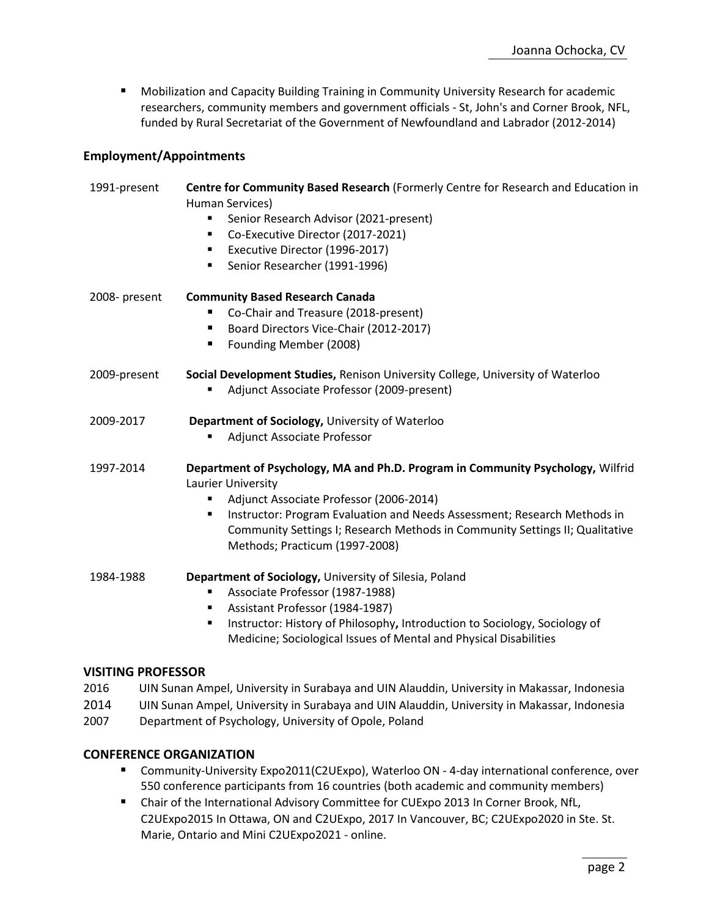■ Mobilization and Capacity Building Training in Community University Research for academic researchers, community members and government officials - St, John's and Corner Brook, NFL, funded by Rural Secretariat of the Government of Newfoundland and Labrador (2012-2014)

### **Employment/Appointments**

| 1991-present  | Centre for Community Based Research (Formerly Centre for Research and Education in<br>Human Services)<br>Senior Research Advisor (2021-present)<br>٠<br>Co-Executive Director (2017-2021)<br>٠<br>Executive Director (1996-2017)<br>٠<br>Senior Researcher (1991-1996)<br>٠                                                                              |
|---------------|----------------------------------------------------------------------------------------------------------------------------------------------------------------------------------------------------------------------------------------------------------------------------------------------------------------------------------------------------------|
| 2008- present | <b>Community Based Research Canada</b><br>Co-Chair and Treasure (2018-present)<br>Board Directors Vice-Chair (2012-2017)<br>ш<br>Founding Member (2008)<br>п                                                                                                                                                                                             |
| 2009-present  | Social Development Studies, Renison University College, University of Waterloo<br>Adjunct Associate Professor (2009-present)                                                                                                                                                                                                                             |
| 2009-2017     | Department of Sociology, University of Waterloo<br>Adjunct Associate Professor                                                                                                                                                                                                                                                                           |
| 1997-2014     | Department of Psychology, MA and Ph.D. Program in Community Psychology, Wilfrid<br>Laurier University<br>Adjunct Associate Professor (2006-2014)<br>٠<br>Instructor: Program Evaluation and Needs Assessment; Research Methods in<br>٠<br>Community Settings I; Research Methods in Community Settings II; Qualitative<br>Methods; Practicum (1997-2008) |
| 1984-1988     | Department of Sociology, University of Silesia, Poland<br>Associate Professor (1987-1988)<br>٠<br>Assistant Professor (1984-1987)<br>٠<br>Instructor: History of Philosophy, Introduction to Sociology, Sociology of<br>٠<br>Medicine; Sociological Issues of Mental and Physical Disabilities                                                           |

#### **VISITING PROFESSOR**

- 2016 UIN Sunan Ampel, University in Surabaya and UIN Alauddin, University in Makassar, Indonesia
- 2014 UIN Sunan Ampel, University in Surabaya and UIN Alauddin, University in Makassar, Indonesia
- 2007 Department of Psychology, University of Opole, Poland

#### **CONFERENCE ORGANIZATION**

- Community-University Expo2011(C2UExpo), Waterloo ON 4-day international conference, over 550 conference participants from 16 countries (both academic and community members)
- Chair of the International Advisory Committee for CUExpo 2013 In Corner Brook, NfL, C2UExpo2015 In Ottawa, ON and C2UExpo, 2017 In Vancouver, BC; C2UExpo2020 in Ste. St. Marie, Ontario and Mini C2UExpo2021 - online.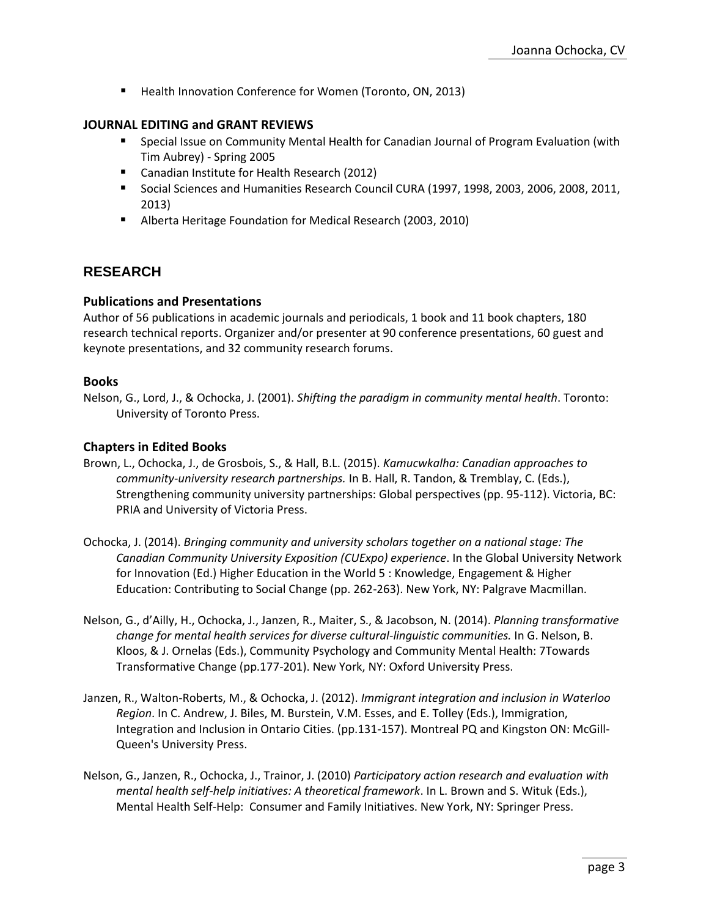■ Health Innovation Conference for Women (Toronto, ON, 2013)

### **JOURNAL EDITING and GRANT REVIEWS**

- Special Issue on Community Mental Health for Canadian Journal of Program Evaluation (with Tim Aubrey) - Spring 2005
- Canadian Institute for Health Research (2012)
- Social Sciences and Humanities Research Council CURA (1997, 1998, 2003, 2006, 2008, 2011, 2013)
- Alberta Heritage Foundation for Medical Research (2003, 2010)

# **RESEARCH**

### **Publications and Presentations**

Author of 56 publications in academic journals and periodicals, 1 book and 11 book chapters, 180 research technical reports. Organizer and/or presenter at 90 conference presentations, 60 guest and keynote presentations, and 32 community research forums.

#### **Books**

Nelson, G., Lord, J., & Ochocka, J. (2001). *Shifting the paradigm in community mental health*. Toronto: University of Toronto Press.

### **Chapters in Edited Books**

- Brown, L., Ochocka, J., de Grosbois, S., & Hall, B.L. (2015). *Kamucwkalha: Canadian approaches to community-university research partnerships.* In B. Hall, R. Tandon, & Tremblay, C. (Eds.), Strengthening community university partnerships: Global perspectives (pp. 95-112). Victoria, BC: PRIA and University of Victoria Press.
- Ochocka, J. (2014). *Bringing community and university scholars together on a national stage: The Canadian Community University Exposition (CUExpo) experience*. In the Global University Network for Innovation (Ed.) Higher Education in the World 5 : Knowledge, Engagement & Higher Education: Contributing to Social Change (pp. 262-263). New York, NY: Palgrave Macmillan.
- Nelson, G., d'Ailly, H., Ochocka, J., Janzen, R., Maiter, S., & Jacobson, N. (2014). *Planning transformative change for mental health services for diverse cultural-linguistic communities.* In G. Nelson, B. Kloos, & J. Ornelas (Eds.), Community Psychology and Community Mental Health: 7Towards Transformative Change (pp.177-201). New York, NY: Oxford University Press.
- Janzen, R., Walton-Roberts, M., & Ochocka, J. (2012). *Immigrant integration and inclusion in Waterloo Region*. In C. Andrew, J. Biles, M. Burstein, V.M. Esses, and E. Tolley (Eds.), Immigration, Integration and Inclusion in Ontario Cities. (pp.131-157). Montreal PQ and Kingston ON: McGill-Queen's University Press.
- Nelson, G., Janzen, R., Ochocka, J., Trainor, J. (2010) *Participatory action research and evaluation with mental health self-help initiatives: A theoretical framework*. In L. Brown and S. Wituk (Eds.), Mental Health Self-Help: Consumer and Family Initiatives. New York, NY: Springer Press.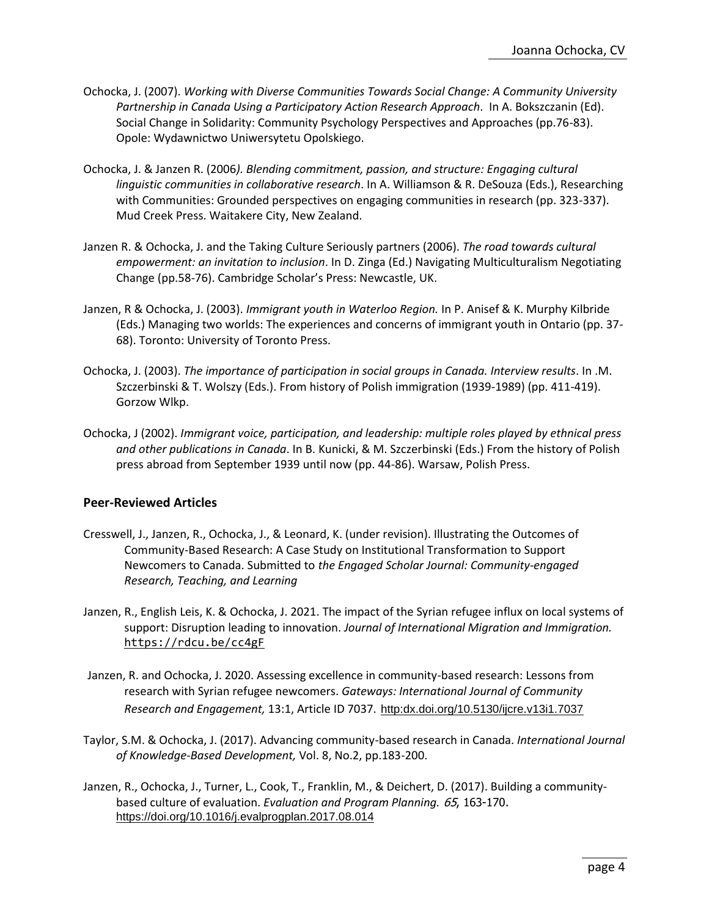- Ochocka, J. (2007). *Working with Diverse Communities Towards Social Change: A Community University Partnership in Canada Using a Participatory Action Research Approach*. In A. Bokszczanin (Ed). Social Change in Solidarity: Community Psychology Perspectives and Approaches (pp.76-83). Opole: Wydawnictwo Uniwersytetu Opolskiego.
- Ochocka, J. & Janzen R. (2006*). Blending commitment, passion, and structure: Engaging cultural linguistic communities in collaborative research*. In A. Williamson & R. DeSouza (Eds.), Researching with Communities: Grounded perspectives on engaging communities in research (pp. 323-337). Mud Creek Press. Waitakere City, New Zealand.
- Janzen R. & Ochocka, J. and the Taking Culture Seriously partners (2006). *The road towards cultural empowerment: an invitation to inclusion*. In D. Zinga (Ed.) Navigating Multiculturalism Negotiating Change (pp.58-76). Cambridge Scholar's Press: Newcastle, UK.
- Janzen, R & Ochocka, J. (2003). *Immigrant youth in Waterloo Region.* In P. Anisef & K. Murphy Kilbride (Eds.) Managing two worlds: The experiences and concerns of immigrant youth in Ontario (pp. 37- 68). Toronto: University of Toronto Press.
- Ochocka, J. (2003). *The importance of participation in social groups in Canada. Interview results*. In .M. Szczerbinski & T. Wolszy (Eds.). From history of Polish immigration (1939-1989) (pp. 411-419). Gorzow Wlkp.
- Ochocka, J (2002). *Immigrant voice, participation, and leadership: multiple roles played by ethnical press and other publications in Canada*. In B. Kunicki, & M. Szczerbinski (Eds.) From the history of Polish press abroad from September 1939 until now (pp. 44-86). Warsaw, Polish Press.

#### **Peer-Reviewed Articles**

- Cresswell, J., Janzen, R., Ochocka, J., & Leonard, K. (under revision). Illustrating the Outcomes of Community-Based Research: A Case Study on Institutional Transformation to Support Newcomers to Canada. Submitted to *the Engaged Scholar Journal: Community-engaged Research, Teaching, and Learning*
- Janzen, R., English Leis, K. & Ochocka, J. 2021. The impact of the Syrian refugee influx on local systems of support: Disruption leading to innovation. *Journal of International Migration and Immigration.* <https://rdcu.be/cc4gF>
- Janzen, R. and Ochocka, J. 2020. Assessing excellence in community-based research: Lessons from research with Syrian refugee newcomers. *Gateways: International Journal of Community Research and Engagement,* 13:1, Article ID 7037. [http:dx.doi.org/10.5130/ijcre.v13i1.7037](http://dx.doi.org/10.5130/ijcre.v13i1.7037)
- Taylor, S.M. & Ochocka, J. (2017). Advancing community-based research in Canada. *International Journal of Knowledge-Based Development,* Vol. 8, No.2, pp.183-200.
- Janzen, R., Ochocka, J., Turner, L., Cook, T., Franklin, M., & Deichert, D. (2017). Building a communitybased culture of evaluation. *Evaluation and Program Planning.* <sup>65</sup>, 163-170. <https://doi.org/10.1016/j.evalprogplan.2017.08.014>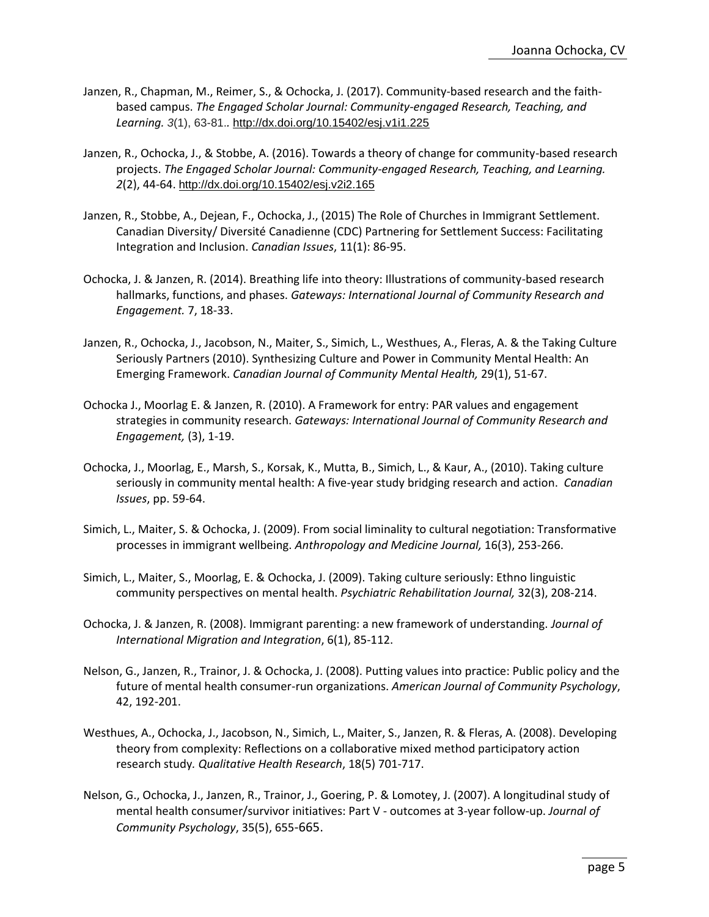- Janzen, R., Chapman, M., Reimer, S., & Ochocka, J. (2017). Community-based research and the faithbased campus. *The Engaged Scholar Journal: Community-engaged Research, Teaching, and Learning. 3*(1), 63-81.*.* <http://dx.doi.org/10.15402/esj.v1i1.225>
- Janzen, R., Ochocka, J., & Stobbe, A. (2016). Towards a theory of change for community-based research projects. *The Engaged Scholar Journal: Community-engaged Research, Teaching, and Learning. 2*(2), 44-64. <http://dx.doi.org/10.15402/esj.v2i2.165>
- Janzen, R., Stobbe, A., Dejean, F., Ochocka, J., (2015) The Role of Churches in Immigrant Settlement. Canadian Diversity/ Diversité Canadienne (CDC) Partnering for Settlement Success: Facilitating Integration and Inclusion. *Canadian Issues*, 11(1): 86-95.
- Ochocka, J. & Janzen, R. (2014). Breathing life into theory: Illustrations of community-based research hallmarks, functions, and phases. *Gateways: International Journal of Community Research and Engagement.* 7, 18-33.
- Janzen, R., Ochocka, J., Jacobson, N., Maiter, S., Simich, L., Westhues, A., Fleras, A. & the Taking Culture Seriously Partners (2010). Synthesizing Culture and Power in Community Mental Health: An Emerging Framework. *Canadian Journal of Community Mental Health,* 29(1), 51-67.
- Ochocka J., Moorlag E. & Janzen, R. (2010). A Framework for entry: PAR values and engagement strategies in community research. *Gateways: International Journal of Community Research and Engagement,* (3), 1-19.
- Ochocka, J., Moorlag, E., Marsh, S., Korsak, K., Mutta, B., Simich, L., & Kaur, A., (2010). Taking culture seriously in community mental health: A five-year study bridging research and action. *Canadian Issues*, pp. 59-64.
- Simich, L., Maiter, S. & Ochocka, J. (2009). From social liminality to cultural negotiation: Transformative processes in immigrant wellbeing. *Anthropology and Medicine Journal,* 16(3), 253-266.
- Simich, L., Maiter, S., Moorlag, E. & Ochocka, J. (2009). Taking culture seriously: Ethno linguistic community perspectives on mental health. *Psychiatric Rehabilitation Journal,* 32(3), 208-214.
- Ochocka, J. & Janzen, R. (2008). Immigrant parenting: a new framework of understanding. *Journal of International Migration and Integration*, 6(1), 85-112.
- Nelson, G., Janzen, R., Trainor, J. & Ochocka, J. (2008). Putting values into practice: Public policy and the future of mental health consumer-run organizations. *American Journal of Community Psychology*, 42, 192-201.
- Westhues, A., Ochocka, J., Jacobson, N., Simich, L., Maiter, S., Janzen, R. & Fleras, A. (2008). Developing theory from complexity: Reflections on a collaborative mixed method participatory action research study*. Qualitative Health Research*, 18(5) 701-717.
- Nelson, G., Ochocka, J., Janzen, R., Trainor, J., Goering, P. & Lomotey, J. (2007). A longitudinal study of mental health consumer/survivor initiatives: Part V - outcomes at 3-year follow-up. *Journal of Community Psychology*, 35(5), 655-665.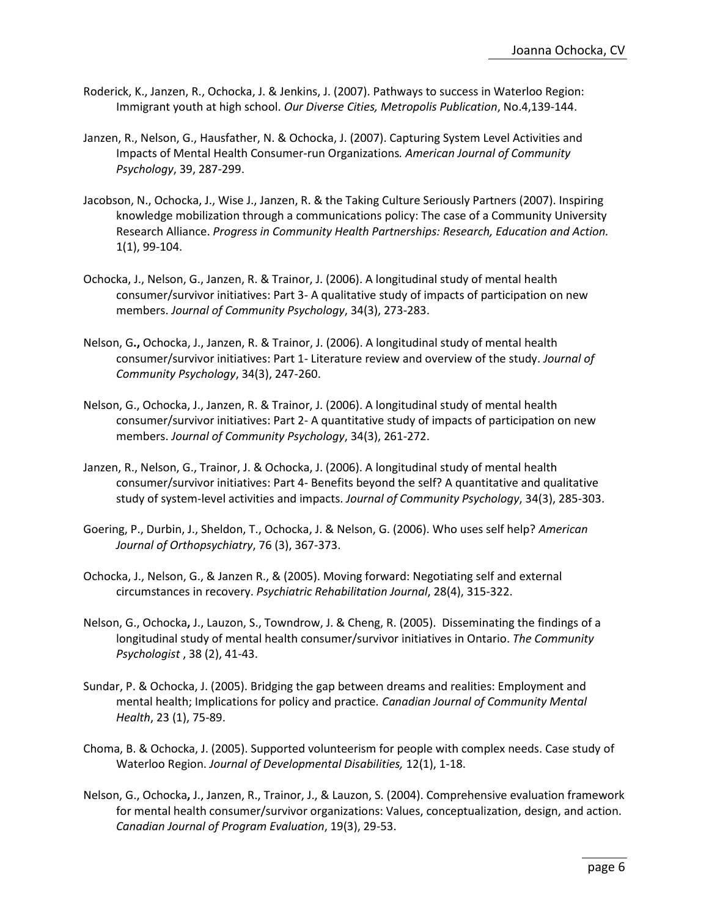- Roderick, K., Janzen, R., Ochocka, J. & Jenkins, J. (2007). Pathways to success in Waterloo Region: Immigrant youth at high school. *Our Diverse Cities, Metropolis Publication*, No.4,139-144.
- Janzen, R., Nelson, G., Hausfather, N. & Ochocka, J. (2007). Capturing System Level Activities and Impacts of Mental Health Consumer-run Organizations*. American Journal of Community Psychology*, 39, 287-299.
- Jacobson, N., Ochocka, J., Wise J., Janzen, R. & the Taking Culture Seriously Partners (2007). Inspiring knowledge mobilization through a communications policy: The case of a Community University Research Alliance. *Progress in Community Health Partnerships: Research, Education and Action.* 1(1), 99-104.
- Ochocka, J., Nelson, G., Janzen, R. & Trainor, J. (2006). A longitudinal study of mental health consumer/survivor initiatives: Part 3- A qualitative study of impacts of participation on new members. *Journal of Community Psychology*, 34(3), 273-283.
- Nelson, G**.,** Ochocka, J., Janzen, R. & Trainor, J. (2006). A longitudinal study of mental health consumer/survivor initiatives: Part 1- Literature review and overview of the study. *Journal of Community Psychology*, 34(3), 247-260.
- Nelson, G., Ochocka, J., Janzen, R. & Trainor, J. (2006). A longitudinal study of mental health consumer/survivor initiatives: Part 2- A quantitative study of impacts of participation on new members. *Journal of Community Psychology*, 34(3), 261-272.
- Janzen, R., Nelson, G., Trainor, J. & Ochocka, J. (2006). A longitudinal study of mental health consumer/survivor initiatives: Part 4- Benefits beyond the self? A quantitative and qualitative study of system-level activities and impacts. *Journal of Community Psychology*, 34(3), 285-303.
- Goering, P., Durbin, J., Sheldon, T., Ochocka, J. & Nelson, G. (2006). Who uses self help? *American Journal of Orthopsychiatry*, 76 (3), 367-373.
- Ochocka, J., Nelson, G., & Janzen R., & (2005). Moving forward: Negotiating self and external circumstances in recovery. *Psychiatric Rehabilitation Journal*, 28(4), 315-322.
- Nelson, G., Ochocka**,** J., Lauzon, S., Towndrow, J. & Cheng, R. (2005). Disseminating the findings of a longitudinal study of mental health consumer/survivor initiatives in Ontario. *The Community Psychologist* , 38 (2), 41-43.
- Sundar, P. & Ochocka, J. (2005). Bridging the gap between dreams and realities: Employment and mental health; Implications for policy and practice*. Canadian Journal of Community Mental Health*, 23 (1), 75-89.
- Choma, B. & Ochocka, J. (2005). Supported volunteerism for people with complex needs. Case study of Waterloo Region. *Journal of Developmental Disabilities,* 12(1), 1-18.
- Nelson, G., Ochocka**,** J., Janzen, R., Trainor, J., & Lauzon, S. (2004). Comprehensive evaluation framework for mental health consumer/survivor organizations: Values, conceptualization, design, and action. *Canadian Journal of Program Evaluation*, 19(3), 29-53.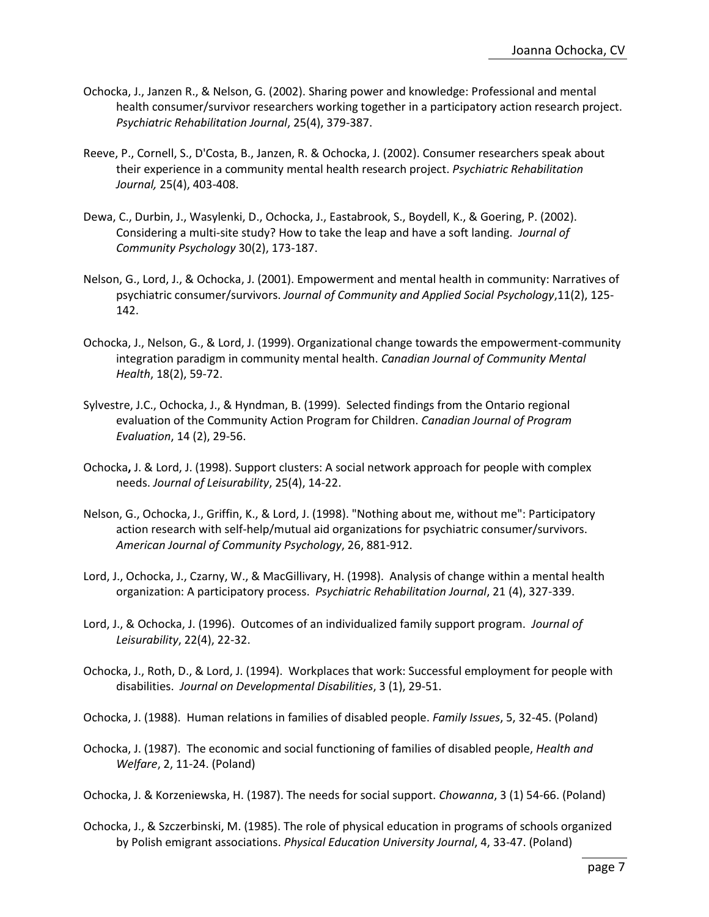- Ochocka, J., Janzen R., & Nelson, G. (2002). Sharing power and knowledge: Professional and mental health consumer/survivor researchers working together in a participatory action research project. *Psychiatric Rehabilitation Journal*, 25(4), 379-387.
- Reeve, P., Cornell, S., D'Costa, B., Janzen, R. & Ochocka, J. (2002). Consumer researchers speak about their experience in a community mental health research project. *Psychiatric Rehabilitation Journal,* 25(4), 403-408.
- Dewa, C., Durbin, J., Wasylenki, D., Ochocka, J., Eastabrook, S., Boydell, K., & Goering, P. (2002). Considering a multi-site study? How to take the leap and have a soft landing. *Journal of Community Psychology* 30(2), 173-187.
- Nelson, G., Lord, J., & Ochocka, J. (2001). Empowerment and mental health in community: Narratives of psychiatric consumer/survivors. *Journal of Community and Applied Social Psychology*,11(2), 125- 142.
- Ochocka, J., Nelson, G., & Lord, J. (1999). Organizational change towards the empowerment-community integration paradigm in community mental health. *Canadian Journal of Community Mental Health*, 18(2), 59-72.
- Sylvestre, J.C., Ochocka, J., & Hyndman, B. (1999). Selected findings from the Ontario regional evaluation of the Community Action Program for Children. *Canadian Journal of Program Evaluation*, 14 (2), 29-56.
- Ochocka**,** J. & Lord, J. (1998). Support clusters: A social network approach for people with complex needs. *Journal of Leisurability*, 25(4), 14-22.
- Nelson, G., Ochocka, J., Griffin, K., & Lord, J. (1998). "Nothing about me, without me": Participatory action research with self-help/mutual aid organizations for psychiatric consumer/survivors. *American Journal of Community Psychology*, 26, 881-912.
- Lord, J., Ochocka, J., Czarny, W., & MacGillivary, H. (1998). Analysis of change within a mental health organization: A participatory process. *Psychiatric Rehabilitation Journal*, 21 (4), 327-339.
- Lord, J., & Ochocka, J. (1996). Outcomes of an individualized family support program. *Journal of Leisurability*, 22(4), 22-32.
- Ochocka, J., Roth, D., & Lord, J. (1994). Workplaces that work: Successful employment for people with disabilities. *Journal on Developmental Disabilities*, 3 (1), 29-51.

Ochocka, J. (1988). Human relations in families of disabled people. *Family Issues*, 5, 32-45. (Poland)

Ochocka, J. (1987). The economic and social functioning of families of disabled people, *Health and Welfare*, 2, 11-24. (Poland)

Ochocka, J. & Korzeniewska, H. (1987). The needs for social support. *Chowanna*, 3 (1) 54-66. (Poland)

Ochocka, J., & Szczerbinski, M. (1985). The role of physical education in programs of schools organized by Polish emigrant associations. *Physical Education University Journal*, 4, 33-47. (Poland)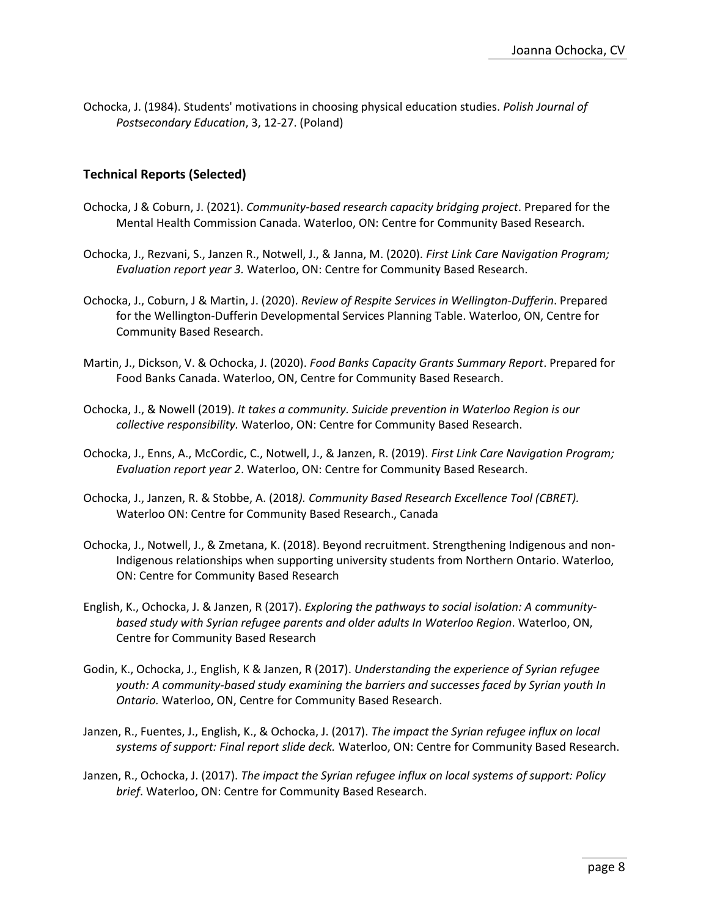Ochocka, J. (1984). Students' motivations in choosing physical education studies. *Polish Journal of Postsecondary Education*, 3, 12-27. (Poland)

# **Technical Reports (Selected)**

- Ochocka, J & Coburn, J. (2021). *Community-based research capacity bridging project*. Prepared for the Mental Health Commission Canada. Waterloo, ON: Centre for Community Based Research.
- Ochocka, J., Rezvani, S., Janzen R., Notwell, J., & Janna, M. (2020). *First Link Care Navigation Program; Evaluation report year 3.* Waterloo, ON: Centre for Community Based Research.
- Ochocka, J., Coburn, J & Martin, J. (2020). *Review of Respite Services in Wellington-Dufferin*. Prepared for the Wellington-Dufferin Developmental Services Planning Table. Waterloo, ON, Centre for Community Based Research.
- Martin, J., Dickson, V. & Ochocka, J. (2020). *Food Banks Capacity Grants Summary Report*. Prepared for Food Banks Canada. Waterloo, ON, Centre for Community Based Research.
- Ochocka, J., & Nowell (2019). *It takes a community. Suicide prevention in Waterloo Region is our collective responsibility.* Waterloo, ON: Centre for Community Based Research.
- Ochocka, J., Enns, A., McCordic, C., Notwell, J., & Janzen, R. (2019). *First Link Care Navigation Program; Evaluation report year 2*. Waterloo, ON: Centre for Community Based Research.
- Ochocka, J., Janzen, R. & Stobbe, A. (2018*). Community Based Research Excellence Tool (CBRET).* Waterloo ON: Centre for Community Based Research., Canada
- Ochocka, J., Notwell, J., & Zmetana, K. (2018). Beyond recruitment. Strengthening Indigenous and non-Indigenous relationships when supporting university students from Northern Ontario. Waterloo, ON: Centre for Community Based Research
- English, K., Ochocka, J. & Janzen, R (2017). *Exploring the pathways to social isolation: A communitybased study with Syrian refugee parents and older adults In Waterloo Region*. Waterloo, ON, Centre for Community Based Research
- Godin, K., Ochocka, J., English, K & Janzen, R (2017). *Understanding the experience of Syrian refugee youth: A community-based study examining the barriers and successes faced by Syrian youth In Ontario.* Waterloo, ON, Centre for Community Based Research.
- Janzen, R., Fuentes, J., English, K., & Ochocka, J. (2017). *The impact the Syrian refugee influx on local systems of support: Final report slide deck.* Waterloo, ON: Centre for Community Based Research.
- Janzen, R., Ochocka, J. (2017). *The impact the Syrian refugee influx on local systems of support: Policy brief*. Waterloo, ON: Centre for Community Based Research.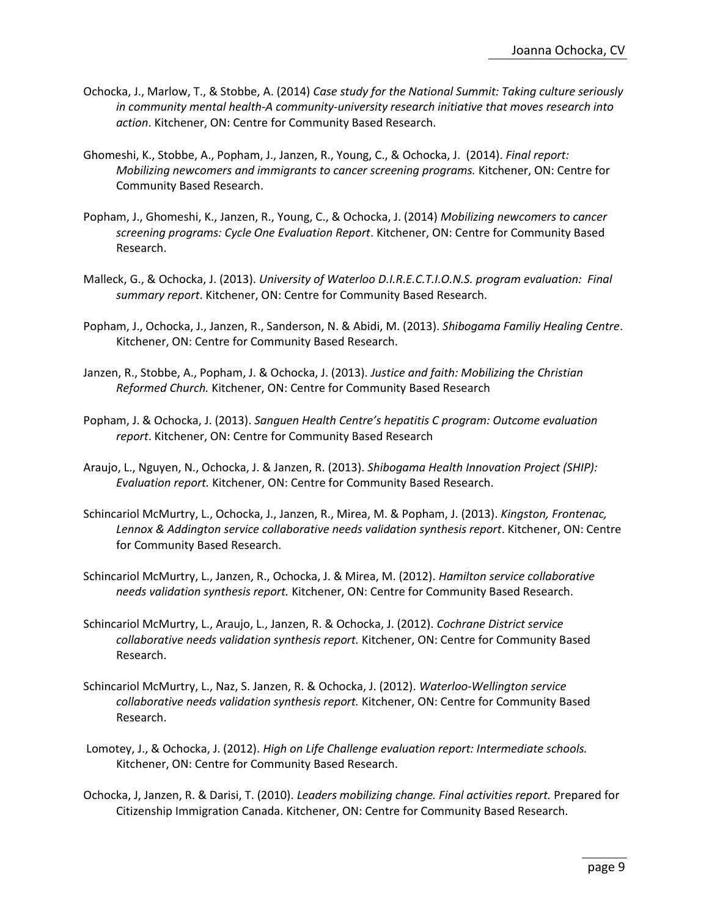- Ochocka, J., Marlow, T., & Stobbe, A. (2014) *Case study for the National Summit: Taking culture seriously in community mental health-A community-university research initiative that moves research into action*. Kitchener, ON: Centre for Community Based Research.
- Ghomeshi, K., Stobbe, A., Popham, J., Janzen, R., Young, C., & Ochocka, J. (2014). *Final report: Mobilizing newcomers and immigrants to cancer screening programs.* Kitchener, ON: Centre for Community Based Research.
- Popham, J., Ghomeshi, K., Janzen, R., Young, C., & Ochocka, J. (2014) *Mobilizing newcomers to cancer screening programs: Cycle One Evaluation Report*. Kitchener, ON: Centre for Community Based Research.
- Malleck, G., & Ochocka, J. (2013). *University of Waterloo D.I.R.E.C.T.I.O.N.S. program evaluation: Final summary report*. Kitchener, ON: Centre for Community Based Research.
- Popham, J., Ochocka, J., Janzen, R., Sanderson, N. & Abidi, M. (2013). *Shibogama Familiy Healing Centre*. Kitchener, ON: Centre for Community Based Research.
- Janzen, R., Stobbe, A., Popham, J. & Ochocka, J. (2013). *Justice and faith: Mobilizing the Christian Reformed Church.* Kitchener, ON: Centre for Community Based Research
- Popham, J. & Ochocka, J. (2013). *Sanguen Health Centre's hepatitis C program: Outcome evaluation report*. Kitchener, ON: Centre for Community Based Research
- Araujo, L., Nguyen, N., Ochocka, J. & Janzen, R. (2013). *Shibogama Health Innovation Project (SHIP): Evaluation report.* Kitchener, ON: Centre for Community Based Research.
- Schincariol McMurtry, L., Ochocka, J., Janzen, R., Mirea, M. & Popham, J. (2013). *Kingston, Frontenac, Lennox & Addington service collaborative needs validation synthesis report*. Kitchener, ON: Centre for Community Based Research.
- Schincariol McMurtry, L., Janzen, R., Ochocka, J. & Mirea, M. (2012). *Hamilton service collaborative needs validation synthesis report.* Kitchener, ON: Centre for Community Based Research.
- Schincariol McMurtry, L., Araujo, L., Janzen, R. & Ochocka, J. (2012). *Cochrane District service collaborative needs validation synthesis report.* Kitchener, ON: Centre for Community Based Research.
- Schincariol McMurtry, L., Naz, S. Janzen, R. & Ochocka, J. (2012). *Waterloo-Wellington service collaborative needs validation synthesis report.* Kitchener, ON: Centre for Community Based Research.
- Lomotey, J., & Ochocka, J. (2012). *High on Life Challenge evaluation report: Intermediate schools.*  Kitchener, ON: Centre for Community Based Research.
- Ochocka, J, Janzen, R. & Darisi, T. (2010). *Leaders mobilizing change. Final activities report.* Prepared for Citizenship Immigration Canada. Kitchener, ON: Centre for Community Based Research.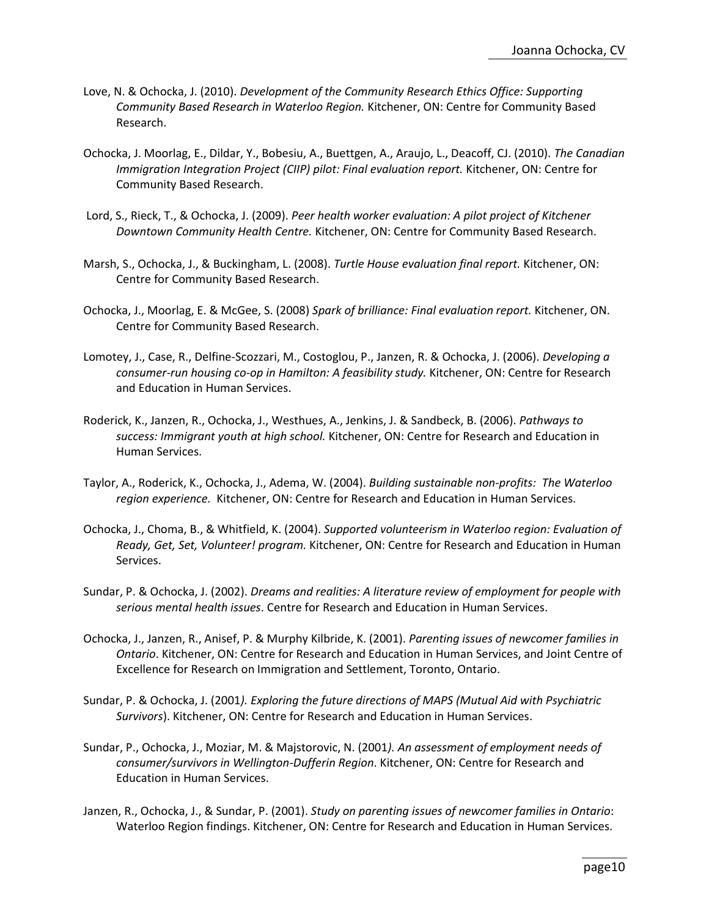- Love, N. & Ochocka, J. (2010). *Development of the Community Research Ethics Office: Supporting Community Based Research in Waterloo Region.* Kitchener, ON: Centre for Community Based Research.
- Ochocka, J. Moorlag, E., Dildar, Y., Bobesiu, A., Buettgen, A., Araujo, L., Deacoff, CJ. (2010). *The Canadian Immigration Integration Project (CIIP) pilot: Final evaluation report.* Kitchener, ON: Centre for Community Based Research.
- Lord, S., Rieck, T., & Ochocka, J. (2009). *Peer health worker evaluation: A pilot project of Kitchener Downtown Community Health Centre.* Kitchener, ON: Centre for Community Based Research.
- Marsh, S., Ochocka, J., & Buckingham, L. (2008). *Turtle House evaluation final report.* Kitchener, ON: Centre for Community Based Research.
- Ochocka, J., Moorlag, E. & McGee, S. (2008) *Spark of brilliance: Final evaluation report.* Kitchener, ON. Centre for Community Based Research.
- Lomotey, J., Case, R., Delfine-Scozzari, M., Costoglou, P., Janzen, R. & Ochocka, J. (2006). *Developing a consumer-run housing co-op in Hamilton: A feasibility study.* Kitchener, ON: Centre for Research and Education in Human Services.
- Roderick, K., Janzen, R., Ochocka, J., Westhues, A., Jenkins, J. & Sandbeck, B. (2006). *Pathways to success: Immigrant youth at high school.* Kitchener, ON: Centre for Research and Education in Human Services.
- Taylor, A., Roderick, K., Ochocka, J., Adema, W. (2004). *Building sustainable non-profits: The Waterloo region experience.* Kitchener, ON: Centre for Research and Education in Human Services.
- Ochocka, J., Choma, B., & Whitfield, K. (2004). *Supported volunteerism in Waterloo region: Evaluation of Ready, Get, Set, Volunteer! program.* Kitchener, ON: Centre for Research and Education in Human Services.
- Sundar, P. & Ochocka, J. (2002). *Dreams and realities: A literature review of employment for people with serious mental health issues*. Centre for Research and Education in Human Services.
- Ochocka, J., Janzen, R., Anisef, P. & Murphy Kilbride, K. (2001). *Parenting issues of newcomer families in Ontario*. Kitchener, ON: Centre for Research and Education in Human Services, and Joint Centre of Excellence for Research on Immigration and Settlement, Toronto, Ontario.
- Sundar, P. & Ochocka, J. (2001*). Exploring the future directions of MAPS (Mutual Aid with Psychiatric Survivors*). Kitchener, ON: Centre for Research and Education in Human Services.
- Sundar, P., Ochocka, J., Moziar, M. & Majstorovic, N. (2001*). An assessment of employment needs of consumer/survivors in Wellington-Dufferin Region*. Kitchener, ON: Centre for Research and Education in Human Services.
- Janzen, R., Ochocka, J., & Sundar, P. (2001). *Study on parenting issues of newcomer families in Ontario*: Waterloo Region findings. Kitchener, ON: Centre for Research and Education in Human Services.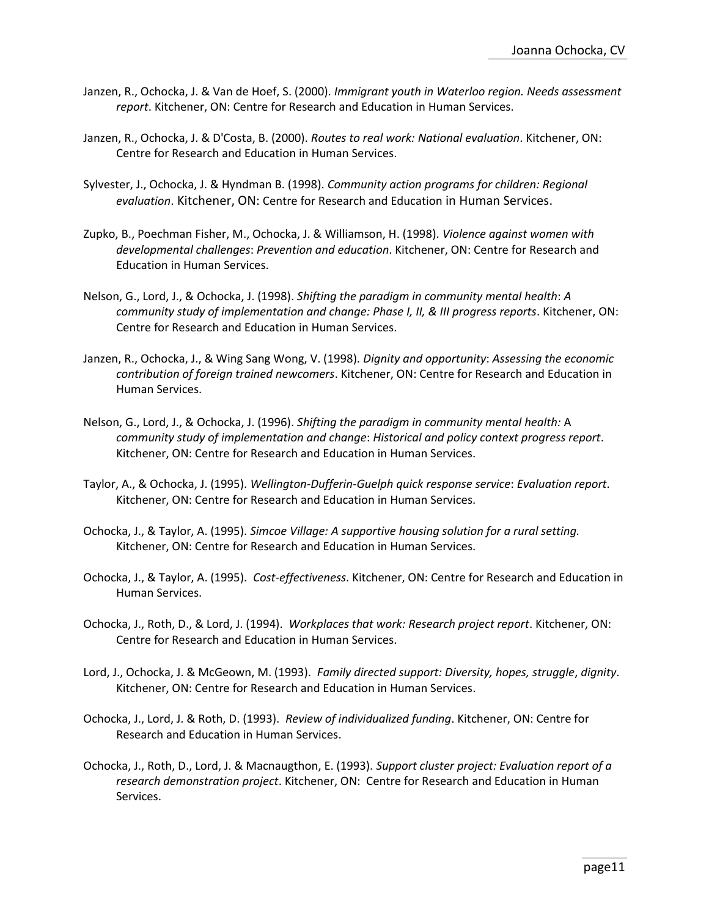- Janzen, R., Ochocka, J. & Van de Hoef, S. (2000). *Immigrant youth in Waterloo region. Needs assessment report*. Kitchener, ON: Centre for Research and Education in Human Services.
- Janzen, R., Ochocka, J. & D'Costa, B. (2000). *Routes to real work: National evaluation*. Kitchener, ON: Centre for Research and Education in Human Services.
- Sylvester, J., Ochocka, J. & Hyndman B. (1998). *Community action programs for children: Regional evaluation*. Kitchener, ON: Centre for Research and Education in Human Services.
- Zupko, B., Poechman Fisher, M., Ochocka, J. & Williamson, H. (1998). *Violence against women with developmental challenges*: *Prevention and education*. Kitchener, ON: Centre for Research and Education in Human Services.
- Nelson, G., Lord, J., & Ochocka, J. (1998). *Shifting the paradigm in community mental health*: *A community study of implementation and change: Phase I, II, & III progress reports*. Kitchener, ON: Centre for Research and Education in Human Services.
- Janzen, R., Ochocka, J., & Wing Sang Wong, V. (1998). *Dignity and opportunity*: *Assessing the economic contribution of foreign trained newcomers*. Kitchener, ON: Centre for Research and Education in Human Services.
- Nelson, G., Lord, J., & Ochocka, J. (1996). *Shifting the paradigm in community mental health:* A *community study of implementation and change*: *Historical and policy context progress report*. Kitchener, ON: Centre for Research and Education in Human Services.
- Taylor, A., & Ochocka, J. (1995). *Wellington-Dufferin-Guelph quick response service*: *Evaluation report*. Kitchener, ON: Centre for Research and Education in Human Services.
- Ochocka, J., & Taylor, A. (1995). *Simcoe Village: A supportive housing solution for a rural setting.* Kitchener, ON: Centre for Research and Education in Human Services.
- Ochocka, J., & Taylor, A. (1995). *Cost-effectiveness*. Kitchener, ON: Centre for Research and Education in Human Services.
- Ochocka, J., Roth, D., & Lord, J. (1994). *Workplaces that work: Research project report*. Kitchener, ON: Centre for Research and Education in Human Services.
- Lord, J., Ochocka, J. & McGeown, M. (1993). *Family directed support: Diversity, hopes, struggle*, *dignity*. Kitchener, ON: Centre for Research and Education in Human Services.
- Ochocka, J., Lord, J. & Roth, D. (1993). *Review of individualized funding*. Kitchener, ON: Centre for Research and Education in Human Services.
- Ochocka, J., Roth, D., Lord, J. & Macnaugthon, E. (1993). *Support cluster project: Evaluation report of a research demonstration project*. Kitchener, ON: Centre for Research and Education in Human Services.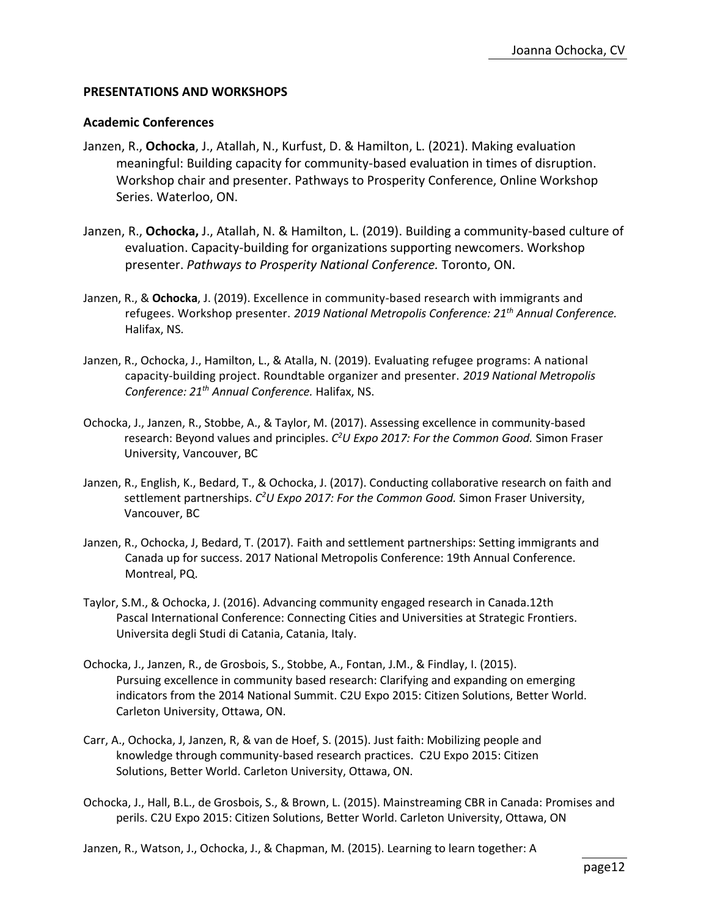### **PRESENTATIONS AND WORKSHOPS**

#### **Academic Conferences**

- Janzen, R., **Ochocka**, J., Atallah, N., Kurfust, D. & Hamilton, L. (2021). Making evaluation meaningful: Building capacity for community-based evaluation in times of disruption. Workshop chair and presenter. Pathways to Prosperity Conference, Online Workshop Series. Waterloo, ON.
- Janzen, R., **Ochocka,** J., Atallah, N. & Hamilton, L. (2019). Building a community-based culture of evaluation. Capacity-building for organizations supporting newcomers. Workshop presenter. *Pathways to Prosperity National Conference.* Toronto, ON.
- Janzen, R., & **Ochocka**, J. (2019). Excellence in community-based research with immigrants and refugees. Workshop presenter. *2019 National Metropolis Conference: 21th Annual Conference.* Halifax, NS.
- Janzen, R., Ochocka, J., Hamilton, L., & Atalla, N. (2019). Evaluating refugee programs: A national capacity-building project. Roundtable organizer and presenter. *2019 National Metropolis Conference: 21th Annual Conference.* Halifax, NS.
- Ochocka, J., Janzen, R., Stobbe, A., & Taylor, M. (2017). Assessing excellence in community-based research: Beyond values and principles. *C <sup>2</sup>U Expo 2017: For the Common Good.* Simon Fraser University, Vancouver, BC
- Janzen, R., English, K., Bedard, T., & Ochocka, J. (2017). Conducting collaborative research on faith and settlement partnerships. *C <sup>2</sup>U Expo 2017: For the Common Good.* Simon Fraser University, Vancouver, BC
- Janzen, R., Ochocka, J, Bedard, T. (2017). Faith and settlement partnerships: Setting immigrants and Canada up for success. 2017 National Metropolis Conference: 19th Annual Conference. Montreal, PQ.
- Taylor, S.M., & Ochocka, J. (2016). Advancing community engaged research in Canada.12th Pascal International Conference: Connecting Cities and Universities at Strategic Frontiers. Universita degli Studi di Catania, Catania, Italy.
- Ochocka, J., Janzen, R., de Grosbois, S., Stobbe, A., Fontan, J.M., & Findlay, I. (2015). Pursuing excellence in community based research: Clarifying and expanding on emerging indicators from the 2014 National Summit. C2U Expo 2015: Citizen Solutions, Better World. Carleton University, Ottawa, ON.
- Carr, A., Ochocka, J, Janzen, R, & van de Hoef, S. (2015). Just faith: Mobilizing people and knowledge through community-based research practices. C2U Expo 2015: Citizen Solutions, Better World. Carleton University, Ottawa, ON.
- Ochocka, J., Hall, B.L., de Grosbois, S., & Brown, L. (2015). Mainstreaming CBR in Canada: Promises and perils. C2U Expo 2015: Citizen Solutions, Better World. Carleton University, Ottawa, ON

Janzen, R., Watson, J., Ochocka, J., & Chapman, M. (2015). Learning to learn together: A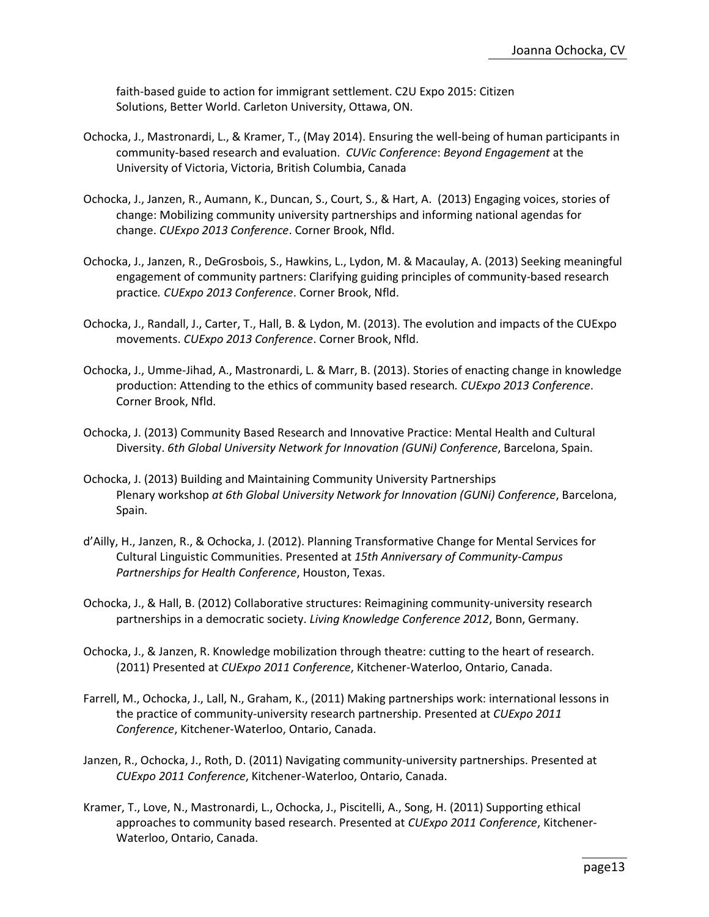faith-based guide to action for immigrant settlement. C2U Expo 2015: Citizen Solutions, Better World. Carleton University, Ottawa, ON.

- Ochocka, J., Mastronardi, L., & Kramer, T., (May 2014). Ensuring the well-being of human participants in community-based research and evaluation. *CUVic Conference*: *Beyond Engagement* at the University of Victoria, Victoria, British Columbia, Canada
- Ochocka, J., Janzen, R., Aumann, K., Duncan, S., Court, S., & Hart, A. (2013) Engaging voices, stories of change: Mobilizing community university partnerships and informing national agendas for change. *CUExpo 2013 Conference*. Corner Brook, Nfld.
- Ochocka, J., Janzen, R., DeGrosbois, S., Hawkins, L., Lydon, M. & Macaulay, A. (2013) Seeking meaningful engagement of community partners: Clarifying guiding principles of community-based research practice*. CUExpo 2013 Conference*. Corner Brook, Nfld.
- Ochocka, J., Randall, J., Carter, T., Hall, B. & Lydon, M. (2013). The evolution and impacts of the CUExpo movements. *CUExpo 2013 Conference*. Corner Brook, Nfld.
- Ochocka, J., Umme-Jihad, A., Mastronardi, L. & Marr, B. (2013). Stories of enacting change in knowledge production: Attending to the ethics of community based research*. CUExpo 2013 Conference*. Corner Brook, Nfld.
- Ochocka, J. (2013) Community Based Research and Innovative Practice: Mental Health and Cultural Diversity. *6th Global University Network for Innovation (GUNi) Conference*, Barcelona, Spain.
- Ochocka, J. (2013) Building and Maintaining Community University Partnerships Plenary workshop *at 6th Global University Network for Innovation (GUNi) Conference*, Barcelona, Spain.
- d'Ailly, H., Janzen, R., & Ochocka, J. (2012). Planning Transformative Change for Mental Services for Cultural Linguistic Communities. Presented at *15th Anniversary of Community-Campus Partnerships for Health Conference*, Houston, Texas.
- Ochocka, J., & Hall, B. (2012) Collaborative structures: Reimagining community-university research partnerships in a democratic society. *Living Knowledge Conference 2012*, Bonn, Germany.
- Ochocka, J., & Janzen, R. Knowledge mobilization through theatre: cutting to the heart of research. (2011) Presented at *CUExpo 2011 Conference*, Kitchener-Waterloo, Ontario, Canada.
- Farrell, M., Ochocka, J., Lall, N., Graham, K., (2011) Making partnerships work: international lessons in the practice of community-university research partnership. Presented at *CUExpo 2011 Conference*, Kitchener-Waterloo, Ontario, Canada.
- Janzen, R., Ochocka, J., Roth, D. (2011) Navigating community-university partnerships. Presented at *CUExpo 2011 Conference*, Kitchener-Waterloo, Ontario, Canada.
- Kramer, T., Love, N., Mastronardi, L., Ochocka, J., Piscitelli, A., Song, H. (2011) Supporting ethical approaches to community based research. Presented at *CUExpo 2011 Conference*, Kitchener-Waterloo, Ontario, Canada.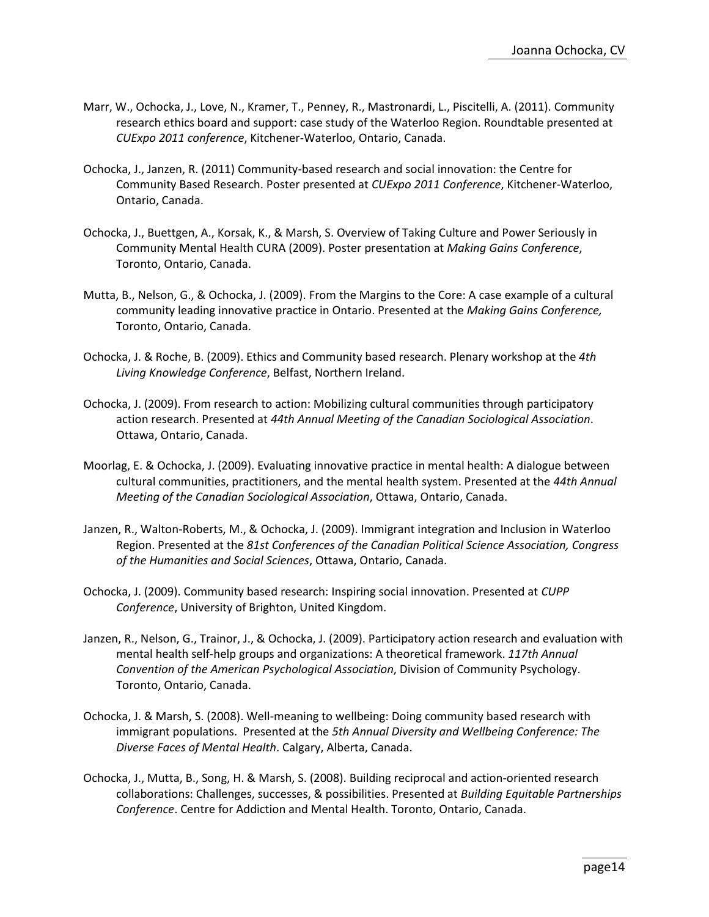- Marr, W., Ochocka, J., Love, N., Kramer, T., Penney, R., Mastronardi, L., Piscitelli, A. (2011). Community research ethics board and support: case study of the Waterloo Region. Roundtable presented at *CUExpo 2011 conference*, Kitchener-Waterloo, Ontario, Canada.
- Ochocka, J., Janzen, R. (2011) Community-based research and social innovation: the Centre for Community Based Research. Poster presented at *CUExpo 2011 Conference*, Kitchener-Waterloo, Ontario, Canada.
- Ochocka, J., Buettgen, A., Korsak, K., & Marsh, S. Overview of Taking Culture and Power Seriously in Community Mental Health CURA (2009). Poster presentation at *Making Gains Conference*, Toronto, Ontario, Canada.
- Mutta, B., Nelson, G., & Ochocka, J. (2009). From the Margins to the Core: A case example of a cultural community leading innovative practice in Ontario. Presented at the *Making Gains Conference,* Toronto, Ontario, Canada.
- Ochocka, J. & Roche, B. (2009). Ethics and Community based research. Plenary workshop at the *4th Living Knowledge Conference*, Belfast, Northern Ireland.
- Ochocka, J. (2009). From research to action: Mobilizing cultural communities through participatory action research. Presented at *44th Annual Meeting of the Canadian Sociological Association*. Ottawa, Ontario, Canada.
- Moorlag, E. & Ochocka, J. (2009). Evaluating innovative practice in mental health: A dialogue between cultural communities, practitioners, and the mental health system. Presented at the *44th Annual Meeting of the Canadian Sociological Association*, Ottawa, Ontario, Canada.
- Janzen, R., Walton-Roberts, M., & Ochocka, J. (2009). Immigrant integration and Inclusion in Waterloo Region. Presented at the *81st Conferences of the Canadian Political Science Association, Congress of the Humanities and Social Sciences*, Ottawa, Ontario, Canada.
- Ochocka, J. (2009). Community based research: Inspiring social innovation. Presented at *CUPP Conference*, University of Brighton, United Kingdom.
- Janzen, R., Nelson, G., Trainor, J., & Ochocka, J. (2009). Participatory action research and evaluation with mental health self-help groups and organizations: A theoretical framework. *117th Annual Convention of the American Psychological Association*, Division of Community Psychology. Toronto, Ontario, Canada.
- Ochocka, J. & Marsh, S. (2008). Well-meaning to wellbeing: Doing community based research with immigrant populations. Presented at the *5th Annual Diversity and Wellbeing Conference: The Diverse Faces of Mental Health*. Calgary, Alberta, Canada.
- Ochocka, J., Mutta, B., Song, H. & Marsh, S. (2008). Building reciprocal and action-oriented research collaborations: Challenges, successes, & possibilities. Presented at *Building Equitable Partnerships Conference*. Centre for Addiction and Mental Health. Toronto, Ontario, Canada.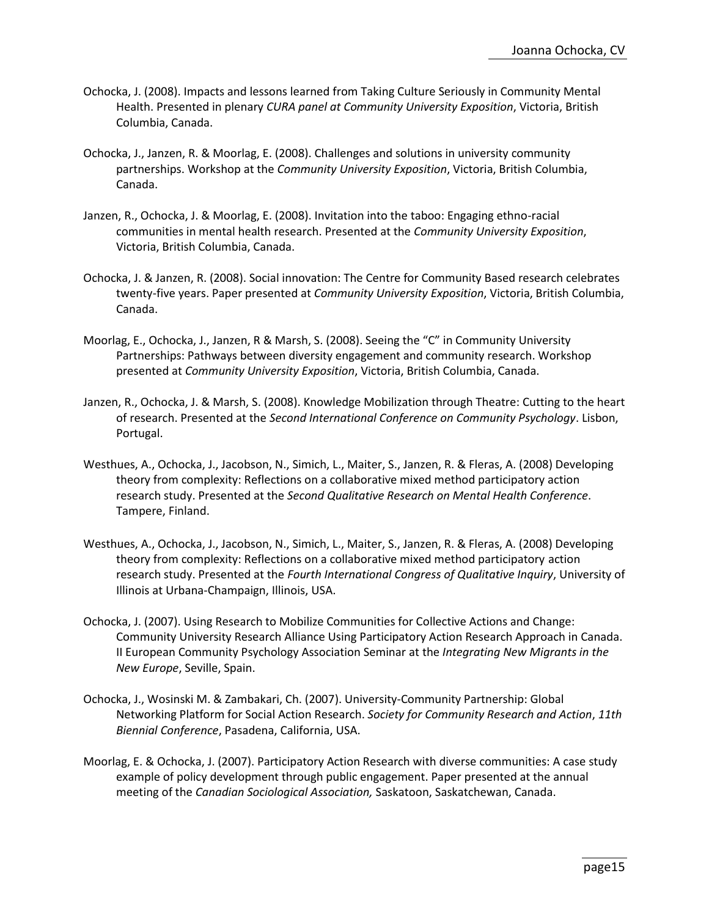- Ochocka, J. (2008). Impacts and lessons learned from Taking Culture Seriously in Community Mental Health. Presented in plenary *CURA panel at Community University Exposition*, Victoria, British Columbia, Canada.
- Ochocka, J., Janzen, R. & Moorlag, E. (2008). Challenges and solutions in university community partnerships. Workshop at the *Community University Exposition*, Victoria, British Columbia, Canada.
- Janzen, R., Ochocka, J. & Moorlag, E. (2008). Invitation into the taboo: Engaging ethno-racial communities in mental health research. Presented at the *Community University Exposition*, Victoria, British Columbia, Canada.
- Ochocka, J. & Janzen, R. (2008). Social innovation: The Centre for Community Based research celebrates twenty-five years. Paper presented at *Community University Exposition*, Victoria, British Columbia, Canada.
- Moorlag, E., Ochocka, J., Janzen, R & Marsh, S. (2008). Seeing the "C" in Community University Partnerships: Pathways between diversity engagement and community research. Workshop presented at *Community University Exposition*, Victoria, British Columbia, Canada.
- Janzen, R., Ochocka, J. & Marsh, S. (2008). Knowledge Mobilization through Theatre: Cutting to the heart of research. Presented at the *Second International Conference on Community Psychology*. Lisbon, Portugal.
- Westhues, A., Ochocka, J., Jacobson, N., Simich, L., Maiter, S., Janzen, R. & Fleras, A. (2008) Developing theory from complexity: Reflections on a collaborative mixed method participatory action research study. Presented at the *Second Qualitative Research on Mental Health Conference*. Tampere, Finland.
- Westhues, A., Ochocka, J., Jacobson, N., Simich, L., Maiter, S., Janzen, R. & Fleras, A. (2008) Developing theory from complexity: Reflections on a collaborative mixed method participatory action research study. Presented at the *Fourth International Congress of Qualitative Inquiry*, University of Illinois at Urbana-Champaign, Illinois, USA.
- Ochocka, J. (2007). Using Research to Mobilize Communities for Collective Actions and Change: Community University Research Alliance Using Participatory Action Research Approach in Canada. II European Community Psychology Association Seminar at the *Integrating New Migrants in the New Europe*, Seville, Spain.
- Ochocka, J., Wosinski M. & Zambakari, Ch. (2007). University-Community Partnership: Global Networking Platform for Social Action Research. *Society for Community Research and Action*, *11th Biennial Conference*, Pasadena, California, USA.
- Moorlag, E. & Ochocka, J. (2007). Participatory Action Research with diverse communities: A case study example of policy development through public engagement. Paper presented at the annual meeting of the *Canadian Sociological Association,* Saskatoon, Saskatchewan, Canada.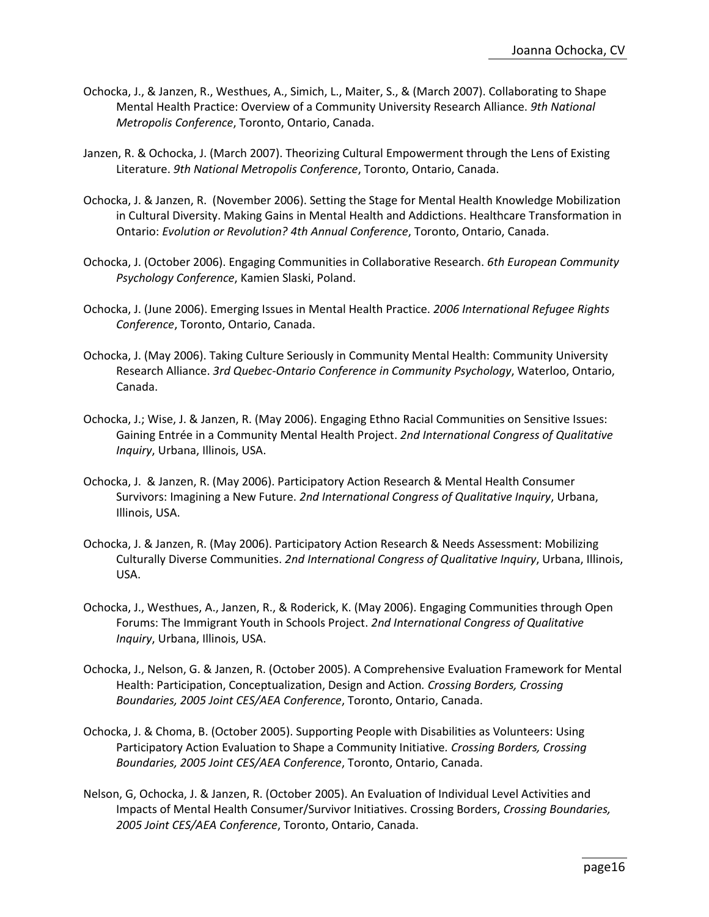- Ochocka, J., & Janzen, R., Westhues, A., Simich, L., Maiter, S., & (March 2007). Collaborating to Shape Mental Health Practice: Overview of a Community University Research Alliance. *9th National Metropolis Conference*, Toronto, Ontario, Canada.
- Janzen, R. & Ochocka, J. (March 2007). Theorizing Cultural Empowerment through the Lens of Existing Literature. *9th National Metropolis Conference*, Toronto, Ontario, Canada.
- Ochocka, J. & Janzen, R. (November 2006). Setting the Stage for Mental Health Knowledge Mobilization in Cultural Diversity. Making Gains in Mental Health and Addictions. Healthcare Transformation in Ontario: *Evolution or Revolution? 4th Annual Conference*, Toronto, Ontario, Canada.
- Ochocka, J. (October 2006). Engaging Communities in Collaborative Research. *6th European Community Psychology Conference*, Kamien Slaski, Poland.
- Ochocka, J. (June 2006). Emerging Issues in Mental Health Practice. *2006 International Refugee Rights Conference*, Toronto, Ontario, Canada.
- Ochocka, J. (May 2006). Taking Culture Seriously in Community Mental Health: Community University Research Alliance. *3rd Quebec-Ontario Conference in Community Psychology*, Waterloo, Ontario, Canada.
- Ochocka, J.; Wise, J. & Janzen, R. (May 2006). Engaging Ethno Racial Communities on Sensitive Issues: Gaining Entrée in a Community Mental Health Project. *2nd International Congress of Qualitative Inquiry*, Urbana, Illinois, USA.
- Ochocka, J. & Janzen, R. (May 2006). Participatory Action Research & Mental Health Consumer Survivors: Imagining a New Future. *2nd International Congress of Qualitative Inquiry*, Urbana, Illinois, USA.
- Ochocka, J. & Janzen, R. (May 2006). Participatory Action Research & Needs Assessment: Mobilizing Culturally Diverse Communities. *2nd International Congress of Qualitative Inquiry*, Urbana, Illinois, USA.
- Ochocka, J., Westhues, A., Janzen, R., & Roderick, K. (May 2006). Engaging Communities through Open Forums: The Immigrant Youth in Schools Project. *2nd International Congress of Qualitative Inquiry*, Urbana, Illinois, USA.
- Ochocka, J., Nelson, G. & Janzen, R. (October 2005). A Comprehensive Evaluation Framework for Mental Health: Participation, Conceptualization, Design and Action*. Crossing Borders, Crossing Boundaries, 2005 Joint CES/AEA Conference*, Toronto, Ontario, Canada.
- Ochocka, J. & Choma, B. (October 2005). Supporting People with Disabilities as Volunteers: Using Participatory Action Evaluation to Shape a Community Initiative*. Crossing Borders, Crossing Boundaries, 2005 Joint CES/AEA Conference*, Toronto, Ontario, Canada.
- Nelson, G, Ochocka, J. & Janzen, R. (October 2005). An Evaluation of Individual Level Activities and Impacts of Mental Health Consumer/Survivor Initiatives. Crossing Borders, *Crossing Boundaries, 2005 Joint CES/AEA Conference*, Toronto, Ontario, Canada.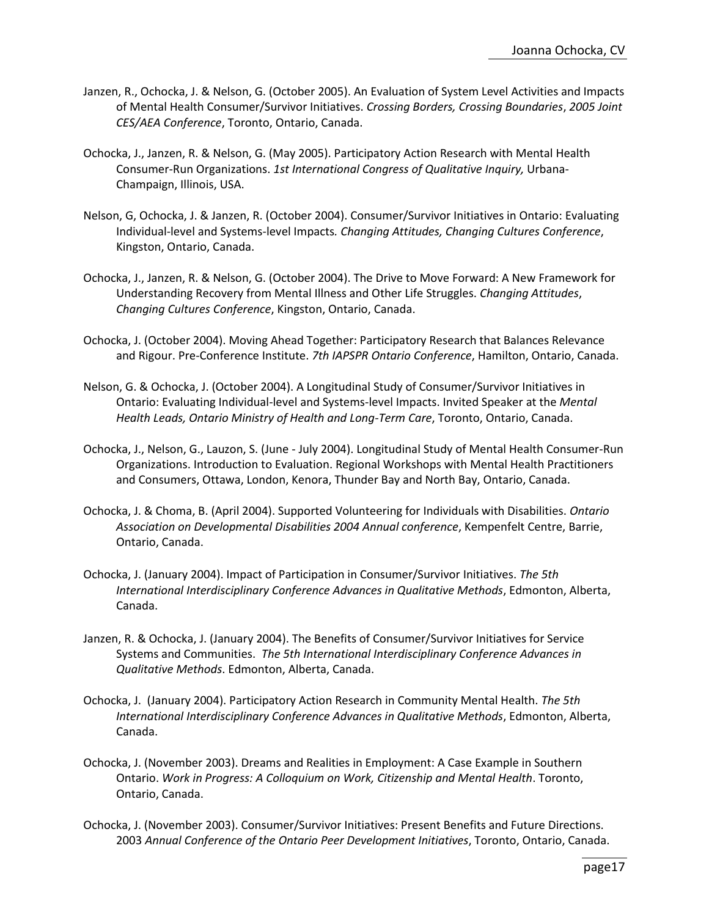- Janzen, R., Ochocka, J. & Nelson, G. (October 2005). An Evaluation of System Level Activities and Impacts of Mental Health Consumer/Survivor Initiatives. *Crossing Borders, Crossing Boundaries*, *2005 Joint CES/AEA Conference*, Toronto, Ontario, Canada.
- Ochocka, J., Janzen, R. & Nelson, G. (May 2005). Participatory Action Research with Mental Health Consumer-Run Organizations. *1st International Congress of Qualitative Inquiry,* Urbana-Champaign, Illinois, USA.
- Nelson, G, Ochocka, J. & Janzen, R. (October 2004). Consumer/Survivor Initiatives in Ontario: Evaluating Individual-level and Systems-level Impacts*. Changing Attitudes, Changing Cultures Conference*, Kingston, Ontario, Canada.
- Ochocka, J., Janzen, R. & Nelson, G. (October 2004). The Drive to Move Forward: A New Framework for Understanding Recovery from Mental Illness and Other Life Struggles. *Changing Attitudes*, *Changing Cultures Conference*, Kingston, Ontario, Canada.
- Ochocka, J. (October 2004). Moving Ahead Together: Participatory Research that Balances Relevance and Rigour. Pre-Conference Institute. *7th IAPSPR Ontario Conference*, Hamilton, Ontario, Canada.
- Nelson, G. & Ochocka, J. (October 2004). A Longitudinal Study of Consumer/Survivor Initiatives in Ontario: Evaluating Individual-level and Systems-level Impacts. Invited Speaker at the *Mental Health Leads, Ontario Ministry of Health and Long-Term Care*, Toronto, Ontario, Canada.
- Ochocka, J., Nelson, G., Lauzon, S. (June July 2004). Longitudinal Study of Mental Health Consumer-Run Organizations. Introduction to Evaluation. Regional Workshops with Mental Health Practitioners and Consumers, Ottawa, London, Kenora, Thunder Bay and North Bay, Ontario, Canada.
- Ochocka, J. & Choma, B. (April 2004). Supported Volunteering for Individuals with Disabilities. *Ontario Association on Developmental Disabilities 2004 Annual conference*, Kempenfelt Centre, Barrie, Ontario, Canada.
- Ochocka, J. (January 2004). Impact of Participation in Consumer/Survivor Initiatives. *The 5th International Interdisciplinary Conference Advances in Qualitative Methods*, Edmonton, Alberta, Canada.
- Janzen, R. & Ochocka, J. (January 2004). The Benefits of Consumer/Survivor Initiatives for Service Systems and Communities. *The 5th International Interdisciplinary Conference Advances in Qualitative Methods*. Edmonton, Alberta, Canada.
- Ochocka, J. (January 2004). Participatory Action Research in Community Mental Health. *The 5th International Interdisciplinary Conference Advances in Qualitative Methods*, Edmonton, Alberta, Canada.
- Ochocka, J. (November 2003). Dreams and Realities in Employment: A Case Example in Southern Ontario. *Work in Progress: A Colloquium on Work, Citizenship and Mental Health*. Toronto, Ontario, Canada.
- Ochocka, J. (November 2003). Consumer/Survivor Initiatives: Present Benefits and Future Directions. 2003 *Annual Conference of the Ontario Peer Development Initiatives*, Toronto, Ontario, Canada.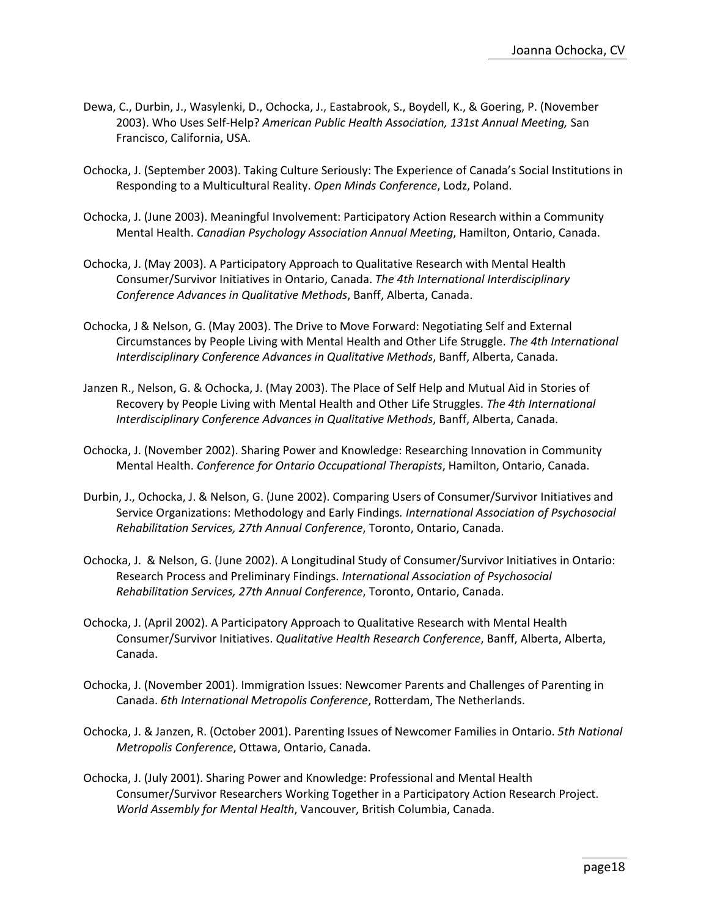- Dewa, C., Durbin, J., Wasylenki, D., Ochocka, J., Eastabrook, S., Boydell, K., & Goering, P. (November 2003). Who Uses Self-Help? *American Public Health Association, 131st Annual Meeting,* San Francisco, California, USA.
- Ochocka, J. (September 2003). Taking Culture Seriously: The Experience of Canada's Social Institutions in Responding to a Multicultural Reality. *Open Minds Conference*, Lodz, Poland.
- Ochocka, J. (June 2003). Meaningful Involvement: Participatory Action Research within a Community Mental Health. *Canadian Psychology Association Annual Meeting*, Hamilton, Ontario, Canada.
- Ochocka, J. (May 2003). A Participatory Approach to Qualitative Research with Mental Health Consumer/Survivor Initiatives in Ontario, Canada. *The 4th International Interdisciplinary Conference Advances in Qualitative Methods*, Banff, Alberta, Canada.
- Ochocka, J & Nelson, G. (May 2003). The Drive to Move Forward: Negotiating Self and External Circumstances by People Living with Mental Health and Other Life Struggle. *The 4th International Interdisciplinary Conference Advances in Qualitative Methods*, Banff, Alberta, Canada.
- Janzen R., Nelson, G. & Ochocka, J. (May 2003). The Place of Self Help and Mutual Aid in Stories of Recovery by People Living with Mental Health and Other Life Struggles. *The 4th International Interdisciplinary Conference Advances in Qualitative Methods*, Banff, Alberta, Canada.
- Ochocka, J. (November 2002). Sharing Power and Knowledge: Researching Innovation in Community Mental Health. *Conference for Ontario Occupational Therapists*, Hamilton, Ontario, Canada.
- Durbin, J., Ochocka, J. & Nelson, G. (June 2002). Comparing Users of Consumer/Survivor Initiatives and Service Organizations: Methodology and Early Findings*. International Association of Psychosocial Rehabilitation Services, 27th Annual Conference*, Toronto, Ontario, Canada.
- Ochocka, J. & Nelson, G. (June 2002). A Longitudinal Study of Consumer/Survivor Initiatives in Ontario: Research Process and Preliminary Findings. *International Association of Psychosocial Rehabilitation Services, 27th Annual Conference*, Toronto, Ontario, Canada.
- Ochocka, J. (April 2002). A Participatory Approach to Qualitative Research with Mental Health Consumer/Survivor Initiatives. *Qualitative Health Research Conference*, Banff, Alberta, Alberta, Canada.
- Ochocka, J. (November 2001). Immigration Issues: Newcomer Parents and Challenges of Parenting in Canada. *6th International Metropolis Conference*, Rotterdam, The Netherlands.
- Ochocka, J. & Janzen, R. (October 2001). Parenting Issues of Newcomer Families in Ontario. *5th National Metropolis Conference*, Ottawa, Ontario, Canada.
- Ochocka, J. (July 2001). Sharing Power and Knowledge: Professional and Mental Health Consumer/Survivor Researchers Working Together in a Participatory Action Research Project. *World Assembly for Mental Health*, Vancouver, British Columbia, Canada.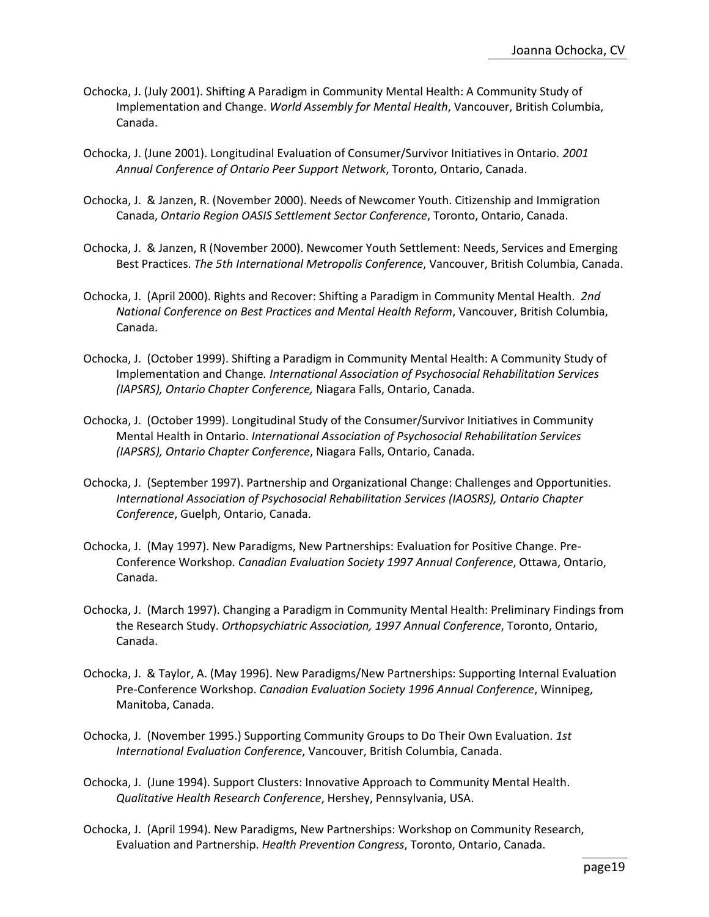- Ochocka, J. (July 2001). Shifting A Paradigm in Community Mental Health: A Community Study of Implementation and Change. *World Assembly for Mental Health*, Vancouver, British Columbia, Canada.
- Ochocka, J. (June 2001). Longitudinal Evaluation of Consumer/Survivor Initiatives in Ontario*. 2001 Annual Conference of Ontario Peer Support Network*, Toronto, Ontario, Canada.
- Ochocka, J. & Janzen, R. (November 2000). Needs of Newcomer Youth. Citizenship and Immigration Canada, *Ontario Region OASIS Settlement Sector Conference*, Toronto, Ontario, Canada.
- Ochocka, J. & Janzen, R (November 2000). Newcomer Youth Settlement: Needs, Services and Emerging Best Practices. *The 5th International Metropolis Conference*, Vancouver, British Columbia, Canada.
- Ochocka, J. (April 2000). Rights and Recover: Shifting a Paradigm in Community Mental Health. *2nd National Conference on Best Practices and Mental Health Reform*, Vancouver, British Columbia, Canada.
- Ochocka, J. (October 1999). Shifting a Paradigm in Community Mental Health: A Community Study of Implementation and Change*. International Association of Psychosocial Rehabilitation Services (IAPSRS), Ontario Chapter Conference,* Niagara Falls, Ontario, Canada.
- Ochocka, J. (October 1999). Longitudinal Study of the Consumer/Survivor Initiatives in Community Mental Health in Ontario. *International Association of Psychosocial Rehabilitation Services (IAPSRS), Ontario Chapter Conference*, Niagara Falls, Ontario, Canada.
- Ochocka, J. (September 1997). Partnership and Organizational Change: Challenges and Opportunities. *International Association of Psychosocial Rehabilitation Services (IAOSRS), Ontario Chapter Conference*, Guelph, Ontario, Canada.
- Ochocka, J. (May 1997). New Paradigms, New Partnerships: Evaluation for Positive Change. Pre-Conference Workshop. *Canadian Evaluation Society 1997 Annual Conference*, Ottawa, Ontario, Canada.
- Ochocka, J. (March 1997). Changing a Paradigm in Community Mental Health: Preliminary Findings from the Research Study. *Orthopsychiatric Association, 1997 Annual Conference*, Toronto, Ontario, Canada.
- Ochocka, J. & Taylor, A. (May 1996). New Paradigms/New Partnerships: Supporting Internal Evaluation Pre-Conference Workshop. *Canadian Evaluation Society 1996 Annual Conference*, Winnipeg, Manitoba, Canada.
- Ochocka, J. (November 1995.) Supporting Community Groups to Do Their Own Evaluation. *1st International Evaluation Conference*, Vancouver, British Columbia, Canada.
- Ochocka, J. (June 1994). Support Clusters: Innovative Approach to Community Mental Health. *Qualitative Health Research Conference*, Hershey, Pennsylvania, USA.
- Ochocka, J. (April 1994). New Paradigms, New Partnerships: Workshop on Community Research, Evaluation and Partnership. *Health Prevention Congress*, Toronto, Ontario, Canada.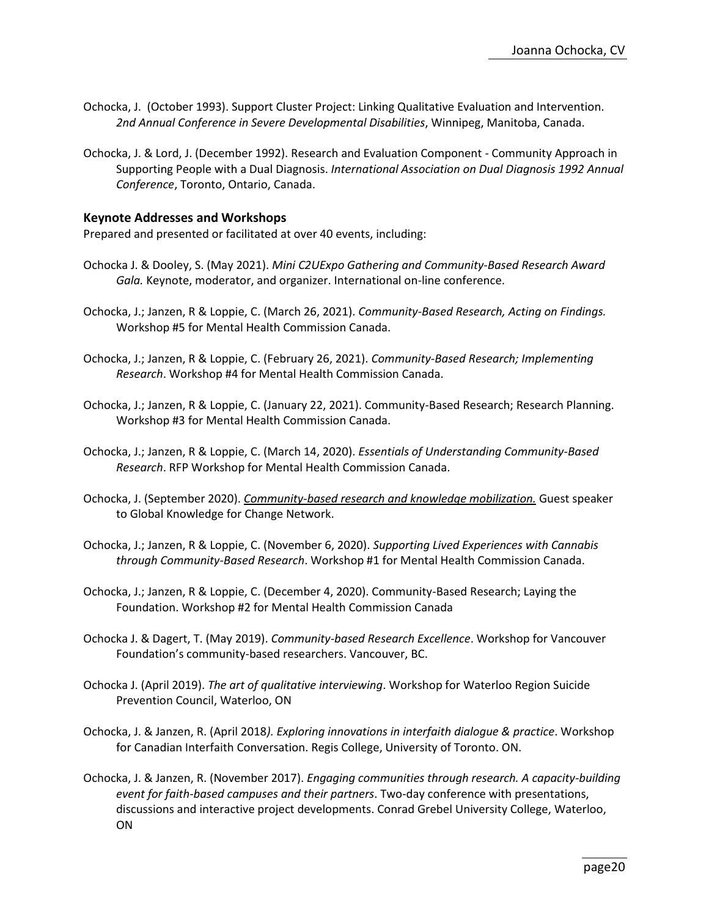- Ochocka, J. (October 1993). Support Cluster Project: Linking Qualitative Evaluation and Intervention. *2nd Annual Conference in Severe Developmental Disabilities*, Winnipeg, Manitoba, Canada.
- Ochocka, J. & Lord, J. (December 1992). Research and Evaluation Component Community Approach in Supporting People with a Dual Diagnosis. *International Association on Dual Diagnosis 1992 Annual Conference*, Toronto, Ontario, Canada.

#### **Keynote Addresses and Workshops**

Prepared and presented or facilitated at over 40 events, including:

- Ochocka J. & Dooley, S. (May 2021). *Mini C2UExpo Gathering and Community-Based Research Award Gala.* Keynote, moderator, and organizer. International on-line conference.
- Ochocka, J.; Janzen, R & Loppie, C. (March 26, 2021). *Community-Based Research, Acting on Findings.* Workshop #5 for Mental Health Commission Canada.
- Ochocka, J.; Janzen, R & Loppie, C. (February 26, 2021). *Community-Based Research; Implementing Research*. Workshop #4 for Mental Health Commission Canada.
- Ochocka, J.; Janzen, R & Loppie, C. (January 22, 2021). Community-Based Research; Research Planning. Workshop #3 for Mental Health Commission Canada.
- Ochocka, J.; Janzen, R & Loppie, C. (March 14, 2020). *Essentials of Understanding Community-Based Research*. RFP Workshop for Mental Health Commission Canada.
- Ochocka, J. (September 2020). *Community-based research and knowledge mobilization.* Guest speaker to Global Knowledge for Change Network.
- Ochocka, J.; Janzen, R & Loppie, C. (November 6, 2020). *Supporting Lived Experiences with Cannabis through Community-Based Research*. Workshop #1 for Mental Health Commission Canada.
- Ochocka, J.; Janzen, R & Loppie, C. (December 4, 2020). Community-Based Research; Laying the Foundation. Workshop #2 for Mental Health Commission Canada
- Ochocka J. & Dagert, T. (May 2019). *Community-based Research Excellence*. Workshop for Vancouver Foundation's community-based researchers. Vancouver, BC.
- Ochocka J. (April 2019). *The art of qualitative interviewing*. Workshop for Waterloo Region Suicide Prevention Council, Waterloo, ON
- Ochocka, J. & Janzen, R. (April 2018*). Exploring innovations in interfaith dialogue & practice*. Workshop for Canadian Interfaith Conversation. Regis College, University of Toronto. ON.
- Ochocka, J. & Janzen, R. (November 2017). *Engaging communities through research. A capacity-building event for faith-based campuses and their partners*. Two-day conference with presentations, discussions and interactive project developments. Conrad Grebel University College, Waterloo, ON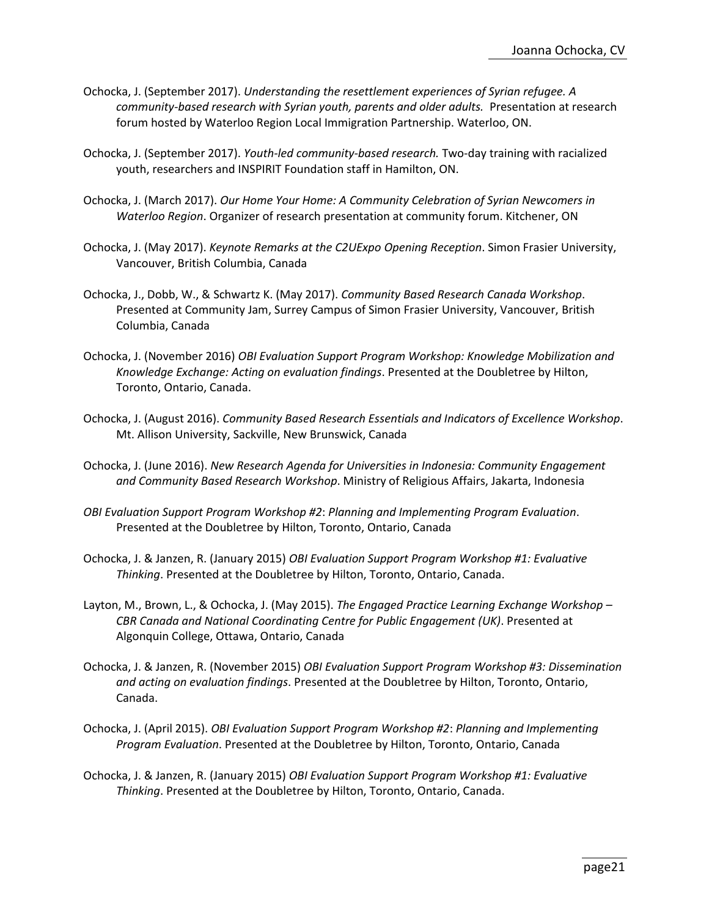- Ochocka, J. (September 2017). *Understanding the resettlement experiences of Syrian refugee. A community-based research with Syrian youth, parents and older adults.* Presentation at research forum hosted by Waterloo Region Local Immigration Partnership. Waterloo, ON.
- Ochocka, J. (September 2017). *Youth-led community-based research.* Two-day training with racialized youth, researchers and INSPIRIT Foundation staff in Hamilton, ON.
- Ochocka, J. (March 2017). *Our Home Your Home: A Community Celebration of Syrian Newcomers in Waterloo Region*. Organizer of research presentation at community forum. Kitchener, ON
- Ochocka, J. (May 2017). *Keynote Remarks at the C2UExpo Opening Reception*. Simon Frasier University, Vancouver, British Columbia, Canada
- Ochocka, J., Dobb, W., & Schwartz K. (May 2017). *Community Based Research Canada Workshop*. Presented at Community Jam, Surrey Campus of Simon Frasier University, Vancouver, British Columbia, Canada
- Ochocka, J. (November 2016) *OBI Evaluation Support Program Workshop: Knowledge Mobilization and Knowledge Exchange: Acting on evaluation findings*. Presented at the Doubletree by Hilton, Toronto, Ontario, Canada.
- Ochocka, J. (August 2016). *Community Based Research Essentials and Indicators of Excellence Workshop*. Mt. Allison University, Sackville, New Brunswick, Canada
- Ochocka, J. (June 2016). *New Research Agenda for Universities in Indonesia: Community Engagement and Community Based Research Workshop*. Ministry of Religious Affairs, Jakarta, Indonesia
- *OBI Evaluation Support Program Workshop #2*: *Planning and Implementing Program Evaluation*. Presented at the Doubletree by Hilton, Toronto, Ontario, Canada
- Ochocka, J. & Janzen, R. (January 2015) *OBI Evaluation Support Program Workshop #1: Evaluative Thinking*. Presented at the Doubletree by Hilton, Toronto, Ontario, Canada.
- Layton, M., Brown, L., & Ochocka, J. (May 2015). *The Engaged Practice Learning Exchange Workshop – CBR Canada and National Coordinating Centre for Public Engagement (UK)*. Presented at Algonquin College, Ottawa, Ontario, Canada
- Ochocka, J. & Janzen, R. (November 2015) *OBI Evaluation Support Program Workshop #3: Dissemination and acting on evaluation findings*. Presented at the Doubletree by Hilton, Toronto, Ontario, Canada.
- Ochocka, J. (April 2015). *OBI Evaluation Support Program Workshop #2*: *Planning and Implementing Program Evaluation*. Presented at the Doubletree by Hilton, Toronto, Ontario, Canada
- Ochocka, J. & Janzen, R. (January 2015) *OBI Evaluation Support Program Workshop #1: Evaluative Thinking*. Presented at the Doubletree by Hilton, Toronto, Ontario, Canada.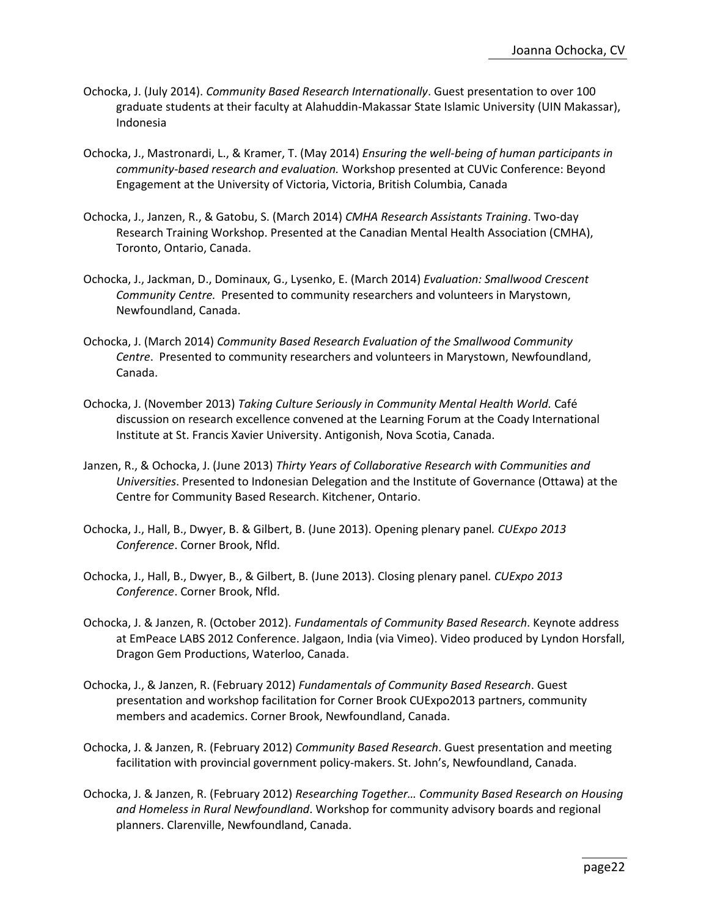- Ochocka, J. (July 2014). *Community Based Research Internationally*. Guest presentation to over 100 graduate students at their faculty at Alahuddin-Makassar State Islamic University (UIN Makassar), Indonesia
- Ochocka, J., Mastronardi, L., & Kramer, T. (May 2014) *Ensuring the well-being of human participants in community-based research and evaluation.* Workshop presented at CUVic Conference: Beyond Engagement at the University of Victoria, Victoria, British Columbia, Canada
- Ochocka, J., Janzen, R., & Gatobu, S. (March 2014) *CMHA Research Assistants Training*. Two-day Research Training Workshop. Presented at the Canadian Mental Health Association (CMHA), Toronto, Ontario, Canada.
- Ochocka, J., Jackman, D., Dominaux, G., Lysenko, E. (March 2014) *Evaluation: Smallwood Crescent Community Centre.* Presented to community researchers and volunteers in Marystown, Newfoundland, Canada.
- Ochocka, J. (March 2014) *Community Based Research Evaluation of the Smallwood Community Centre*. Presented to community researchers and volunteers in Marystown, Newfoundland, Canada.
- Ochocka, J. (November 2013) *Taking Culture Seriously in Community Mental Health World.* Café discussion on research excellence convened at the Learning Forum at the Coady International Institute at St. Francis Xavier University. Antigonish, Nova Scotia, Canada.
- Janzen, R., & Ochocka, J. (June 2013) *Thirty Years of Collaborative Research with Communities and Universities*. Presented to Indonesian Delegation and the Institute of Governance (Ottawa) at the Centre for Community Based Research. Kitchener, Ontario.
- Ochocka, J., Hall, B., Dwyer, B. & Gilbert, B. (June 2013). Opening plenary panel*. CUExpo 2013 Conference*. Corner Brook, Nfld.
- Ochocka, J., Hall, B., Dwyer, B., & Gilbert, B. (June 2013). Closing plenary panel*. CUExpo 2013 Conference*. Corner Brook, Nfld.
- Ochocka, J. & Janzen, R. (October 2012). *Fundamentals of Community Based Research*. Keynote address at EmPeace LABS 2012 Conference. Jalgaon, India (via Vimeo). Video produced by Lyndon Horsfall, Dragon Gem Productions, Waterloo, Canada.
- Ochocka, J., & Janzen, R. (February 2012) *Fundamentals of Community Based Research*. Guest presentation and workshop facilitation for Corner Brook CUExpo2013 partners, community members and academics. Corner Brook, Newfoundland, Canada.
- Ochocka, J. & Janzen, R. (February 2012) *Community Based Research*. Guest presentation and meeting facilitation with provincial government policy-makers. St. John's, Newfoundland, Canada.
- Ochocka, J. & Janzen, R. (February 2012) *Researching Together… Community Based Research on Housing and Homeless in Rural Newfoundland*. Workshop for community advisory boards and regional planners. Clarenville, Newfoundland, Canada.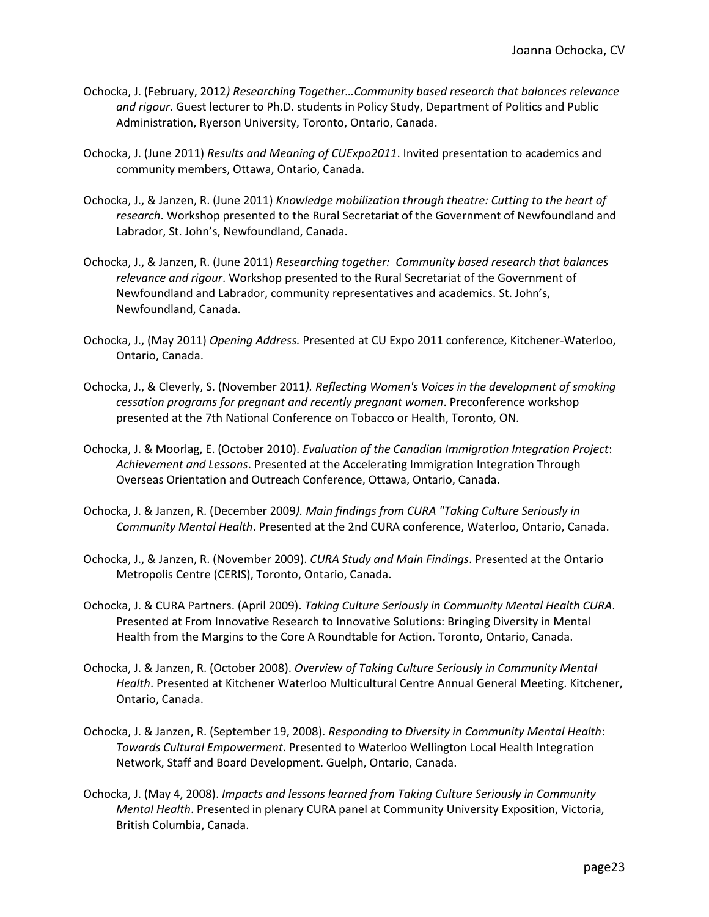- Ochocka, J. (February, 2012*) Researching Together…Community based research that balances relevance and rigour*. Guest lecturer to Ph.D. students in Policy Study, Department of Politics and Public Administration, Ryerson University, Toronto, Ontario, Canada.
- Ochocka, J. (June 2011) *Results and Meaning of CUExpo2011*. Invited presentation to academics and community members, Ottawa, Ontario, Canada.
- Ochocka, J., & Janzen, R. (June 2011) *Knowledge mobilization through theatre: Cutting to the heart of research*. Workshop presented to the Rural Secretariat of the Government of Newfoundland and Labrador, St. John's, Newfoundland, Canada.
- Ochocka, J., & Janzen, R. (June 2011) *Researching together: Community based research that balances relevance and rigour*. Workshop presented to the Rural Secretariat of the Government of Newfoundland and Labrador, community representatives and academics. St. John's, Newfoundland, Canada.
- Ochocka, J., (May 2011) *Opening Address.* Presented at CU Expo 2011 conference, Kitchener-Waterloo, Ontario, Canada.
- Ochocka, J., & Cleverly, S. (November 2011*). Reflecting Women's Voices in the development of smoking cessation programs for pregnant and recently pregnant women*. Preconference workshop presented at the 7th National Conference on Tobacco or Health, Toronto, ON.
- Ochocka, J. & Moorlag, E. (October 2010). *Evaluation of the Canadian Immigration Integration Project*: *Achievement and Lessons*. Presented at the Accelerating Immigration Integration Through Overseas Orientation and Outreach Conference, Ottawa, Ontario, Canada.
- Ochocka, J. & Janzen, R. (December 2009*). Main findings from CURA "Taking Culture Seriously in Community Mental Health*. Presented at the 2nd CURA conference, Waterloo, Ontario, Canada.
- Ochocka, J., & Janzen, R. (November 2009). *CURA Study and Main Findings*. Presented at the Ontario Metropolis Centre (CERIS), Toronto, Ontario, Canada.
- Ochocka, J. & CURA Partners. (April 2009). *Taking Culture Seriously in Community Mental Health CURA*. Presented at From Innovative Research to Innovative Solutions: Bringing Diversity in Mental Health from the Margins to the Core A Roundtable for Action. Toronto, Ontario, Canada.
- Ochocka, J. & Janzen, R. (October 2008). *Overview of Taking Culture Seriously in Community Mental Health*. Presented at Kitchener Waterloo Multicultural Centre Annual General Meeting. Kitchener, Ontario, Canada.
- Ochocka, J. & Janzen, R. (September 19, 2008). *Responding to Diversity in Community Mental Health*: *Towards Cultural Empowerment*. Presented to Waterloo Wellington Local Health Integration Network, Staff and Board Development. Guelph, Ontario, Canada.
- Ochocka, J. (May 4, 2008). *Impacts and lessons learned from Taking Culture Seriously in Community Mental Health*. Presented in plenary CURA panel at Community University Exposition, Victoria, British Columbia, Canada.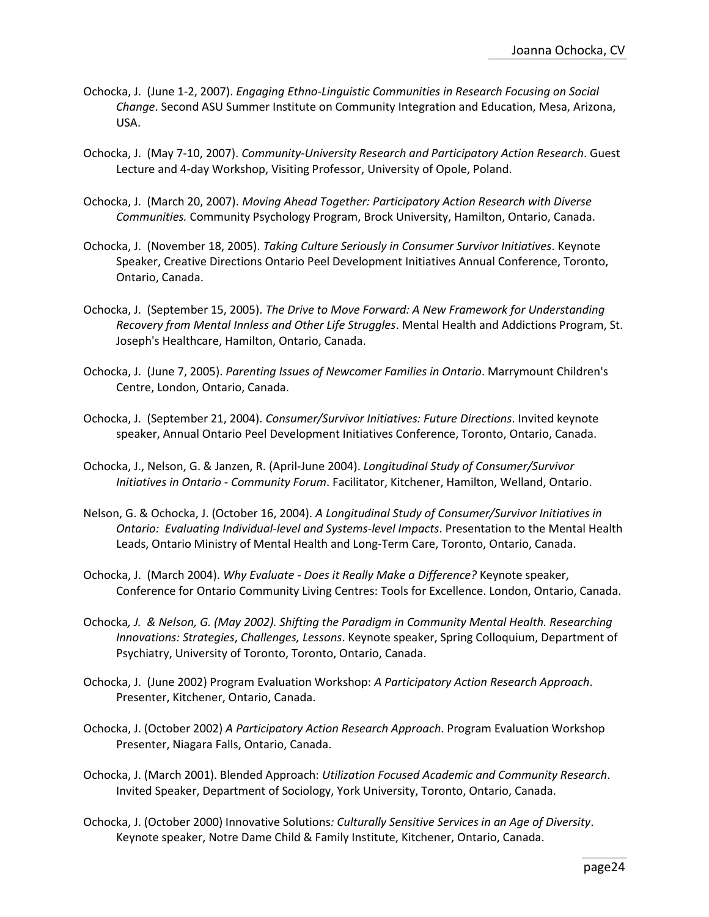- Ochocka, J. (June 1-2, 2007). *Engaging Ethno-Linguistic Communities in Research Focusing on Social Change*. Second ASU Summer Institute on Community Integration and Education, Mesa, Arizona, USA.
- Ochocka, J. (May 7-10, 2007). *Community-University Research and Participatory Action Research*. Guest Lecture and 4-day Workshop, Visiting Professor, University of Opole, Poland.
- Ochocka, J. (March 20, 2007). *Moving Ahead Together: Participatory Action Research with Diverse Communities.* Community Psychology Program, Brock University, Hamilton, Ontario, Canada.
- Ochocka, J. (November 18, 2005). *Taking Culture Seriously in Consumer Survivor Initiatives*. Keynote Speaker, Creative Directions Ontario Peel Development Initiatives Annual Conference, Toronto, Ontario, Canada.
- Ochocka, J. (September 15, 2005). *The Drive to Move Forward: A New Framework for Understanding Recovery from Mental Innless and Other Life Struggles*. Mental Health and Addictions Program, St. Joseph's Healthcare, Hamilton, Ontario, Canada.
- Ochocka, J. (June 7, 2005). *Parenting Issues of Newcomer Families in Ontario*. Marrymount Children's Centre, London, Ontario, Canada.
- Ochocka, J. (September 21, 2004). *Consumer/Survivor Initiatives: Future Directions*. Invited keynote speaker, Annual Ontario Peel Development Initiatives Conference, Toronto, Ontario, Canada.
- Ochocka, J., Nelson, G. & Janzen, R. (April-June 2004). *Longitudinal Study of Consumer/Survivor Initiatives in Ontario* - *Community Forum*. Facilitator, Kitchener, Hamilton, Welland, Ontario.
- Nelson, G. & Ochocka, J. (October 16, 2004). *A Longitudinal Study of Consumer/Survivor Initiatives in Ontario: Evaluating Individual-level and Systems-level Impacts*. Presentation to the Mental Health Leads, Ontario Ministry of Mental Health and Long-Term Care, Toronto, Ontario, Canada.
- Ochocka, J. (March 2004). *Why Evaluate - Does it Really Make a Difference?* Keynote speaker, Conference for Ontario Community Living Centres: Tools for Excellence. London, Ontario, Canada.
- Ochocka*, J. & Nelson, G. (May 2002). Shifting the Paradigm in Community Mental Health. Researching Innovations: Strategies*, *Challenges, Lessons*. Keynote speaker, Spring Colloquium, Department of Psychiatry, University of Toronto, Toronto, Ontario, Canada.
- Ochocka, J. (June 2002) Program Evaluation Workshop: *A Participatory Action Research Approach*. Presenter, Kitchener, Ontario, Canada.
- Ochocka, J. (October 2002) *A Participatory Action Research Approach*. Program Evaluation Workshop Presenter, Niagara Falls, Ontario, Canada.
- Ochocka, J. (March 2001). Blended Approach: *Utilization Focused Academic and Community Research*. Invited Speaker, Department of Sociology, York University, Toronto, Ontario, Canada.
- Ochocka, J. (October 2000) Innovative Solutions*: Culturally Sensitive Services in an Age of Diversity*. Keynote speaker, Notre Dame Child & Family Institute, Kitchener, Ontario, Canada.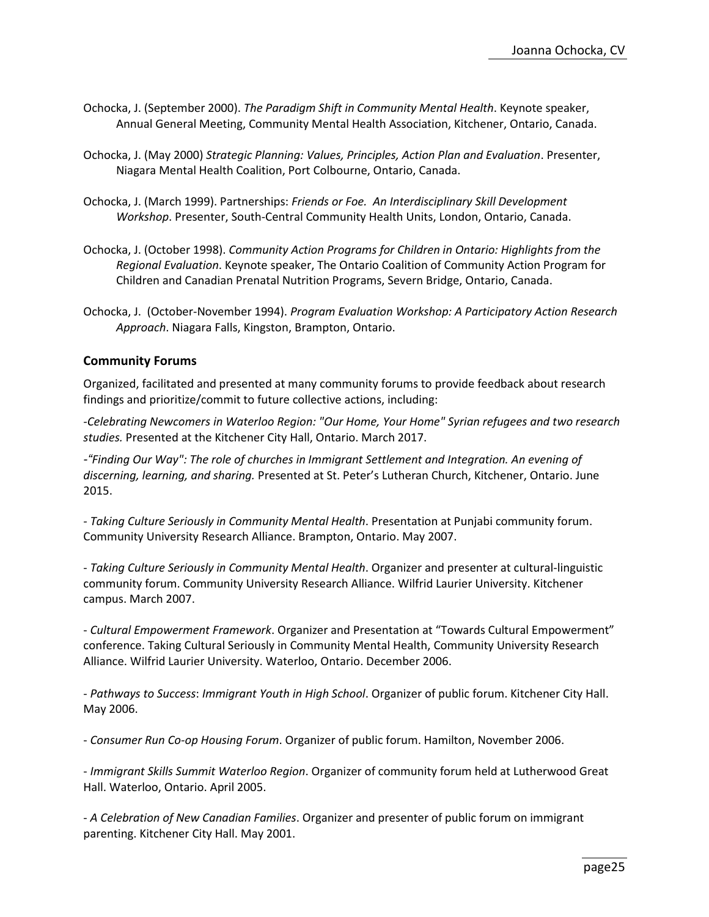- Ochocka, J. (September 2000). *The Paradigm Shift in Community Mental Health*. Keynote speaker, Annual General Meeting, Community Mental Health Association, Kitchener, Ontario, Canada.
- Ochocka, J. (May 2000) *Strategic Planning: Values, Principles, Action Plan and Evaluation*. Presenter, Niagara Mental Health Coalition, Port Colbourne, Ontario, Canada.
- Ochocka, J. (March 1999). Partnerships: *Friends or Foe. An Interdisciplinary Skill Development Workshop*. Presenter, South-Central Community Health Units, London, Ontario, Canada.
- Ochocka, J. (October 1998). *Community Action Programs for Children in Ontario: Highlights from the Regional Evaluation*. Keynote speaker, The Ontario Coalition of Community Action Program for Children and Canadian Prenatal Nutrition Programs, Severn Bridge, Ontario, Canada.
- Ochocka, J. (October-November 1994). *Program Evaluation Workshop: A Participatory Action Research Approach*. Niagara Falls, Kingston, Brampton, Ontario.

#### **Community Forums**

Organized, facilitated and presented at many community forums to provide feedback about research findings and prioritize/commit to future collective actions, including:

*-Celebrating Newcomers in Waterloo Region: "Our Home, Your Home" Syrian refugees and two research studies.* Presented at the Kitchener City Hall, Ontario. March 2017.

*-"Finding Our Way": The role of churches in Immigrant Settlement and Integration. An evening of discerning, learning, and sharing.* Presented at St. Peter's Lutheran Church, Kitchener, Ontario. June 2015.

*- Taking Culture Seriously in Community Mental Health*. Presentation at Punjabi community forum. Community University Research Alliance. Brampton, Ontario. May 2007.

- *Taking Culture Seriously in Community Mental Health*. Organizer and presenter at cultural-linguistic community forum. Community University Research Alliance. Wilfrid Laurier University. Kitchener campus. March 2007.

- *Cultural Empowerment Framework*. Organizer and Presentation at "Towards Cultural Empowerment" conference. Taking Cultural Seriously in Community Mental Health, Community University Research Alliance. Wilfrid Laurier University. Waterloo, Ontario. December 2006.

- *Pathways to Success*: *Immigrant Youth in High School*. Organizer of public forum. Kitchener City Hall. May 2006.

- *Consumer Run Co-op Housing Forum*. Organizer of public forum. Hamilton, November 2006.

- *Immigrant Skills Summit Waterloo Region*. Organizer of community forum held at Lutherwood Great Hall. Waterloo, Ontario. April 2005.

- *A Celebration of New Canadian Families*. Organizer and presenter of public forum on immigrant parenting. Kitchener City Hall. May 2001.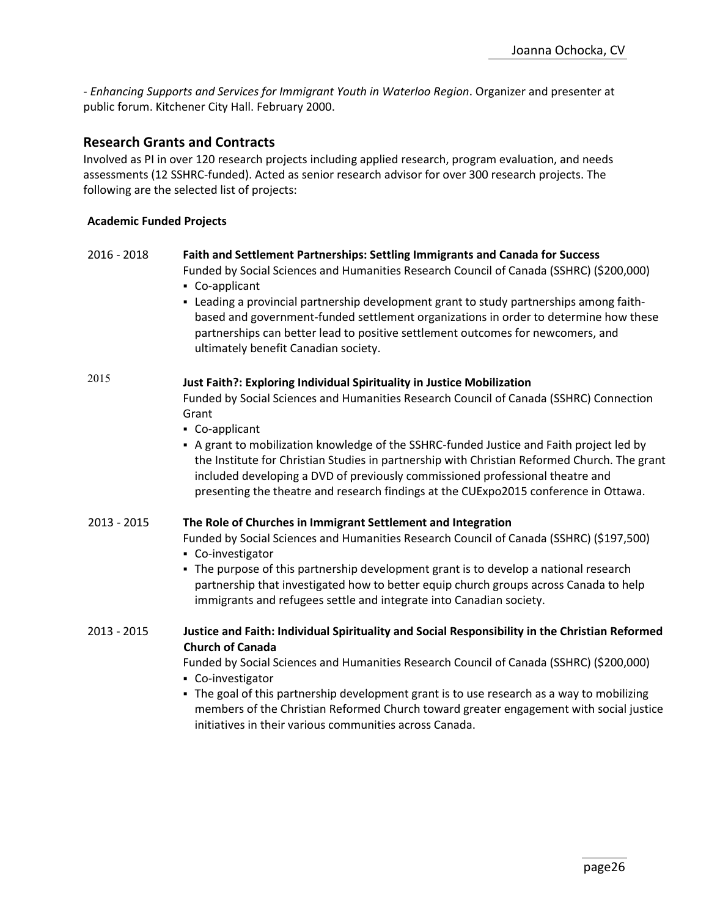- *Enhancing Supports and Services for Immigrant Youth in Waterloo Region*. Organizer and presenter at public forum. Kitchener City Hall. February 2000.

# **Research Grants and Contracts**

Involved as PI in over 120 research projects including applied research, program evaluation, and needs assessments (12 SSHRC-funded). Acted as senior research advisor for over 300 research projects. The following are the selected list of projects:

#### **Academic Funded Projects**

# 2016 - 2018 **Faith and Settlement Partnerships: Settling Immigrants and Canada for Success**

Funded by Social Sciences and Humanities Research Council of Canada (SSHRC) (\$200,000)

- Co-applicant
- Leading a provincial partnership development grant to study partnerships among faithbased and government-funded settlement organizations in order to determine how these partnerships can better lead to positive settlement outcomes for newcomers, and ultimately benefit Canadian society.

# <sup>2015</sup> **Just Faith?: Exploring Individual Spirituality in Justice Mobilization**

Funded by Social Sciences and Humanities Research Council of Canada (SSHRC) Connection Grant

- Co-applicant
- A grant to mobilization knowledge of the SSHRC-funded Justice and Faith project led by the Institute for Christian Studies in partnership with Christian Reformed Church. The grant included developing a DVD of previously commissioned professional theatre and presenting the theatre and research findings at the CUExpo2015 conference in Ottawa.

#### 2013 - 2015 **The Role of Churches in Immigrant Settlement and Integration**

Funded by Social Sciences and Humanities Research Council of Canada (SSHRC) (\$197,500)

- Co-investigator
- The purpose of this partnership development grant is to develop a national research partnership that investigated how to better equip church groups across Canada to help immigrants and refugees settle and integrate into Canadian society.
- 2013 2015 **Justice and Faith: Individual Spirituality and Social Responsibility in the Christian Reformed Church of Canada**

Funded by Social Sciences and Humanities Research Council of Canada (SSHRC) (\$200,000)

- Co-investigator
- The goal of this partnership development grant is to use research as a way to mobilizing members of the Christian Reformed Church toward greater engagement with social justice initiatives in their various communities across Canada.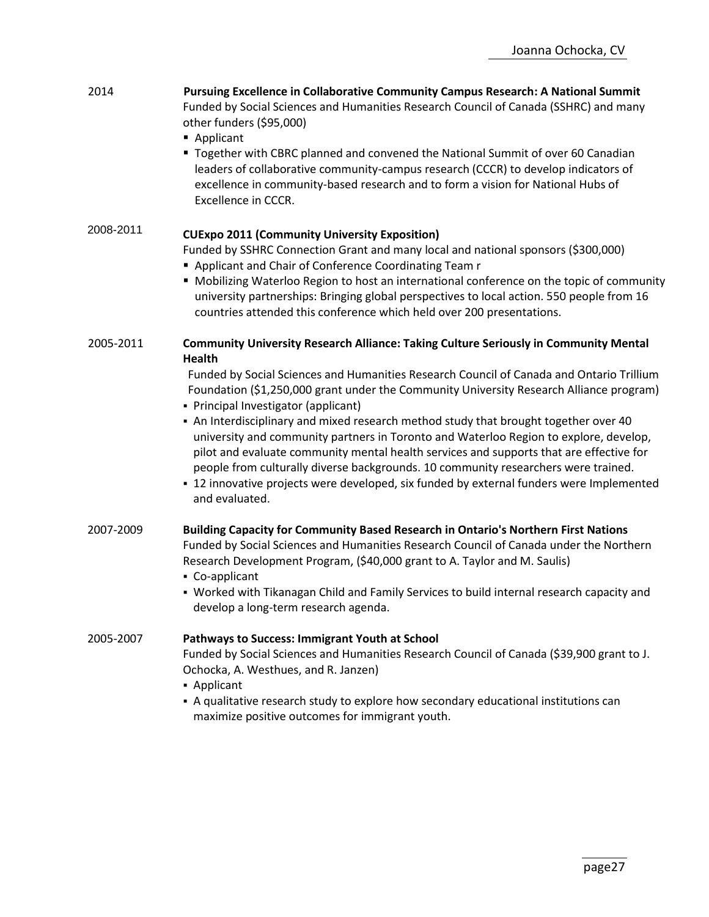| 2014      | Pursuing Excellence in Collaborative Community Campus Research: A National Summit<br>Funded by Social Sciences and Humanities Research Council of Canada (SSHRC) and many<br>other funders (\$95,000)<br>Applicant<br>" Together with CBRC planned and convened the National Summit of over 60 Canadian<br>leaders of collaborative community-campus research (CCCR) to develop indicators of<br>excellence in community-based research and to form a vision for National Hubs of                                                                                                                                                                                                                           |
|-----------|-------------------------------------------------------------------------------------------------------------------------------------------------------------------------------------------------------------------------------------------------------------------------------------------------------------------------------------------------------------------------------------------------------------------------------------------------------------------------------------------------------------------------------------------------------------------------------------------------------------------------------------------------------------------------------------------------------------|
|           | Excellence in CCCR.                                                                                                                                                                                                                                                                                                                                                                                                                                                                                                                                                                                                                                                                                         |
| 2008-2011 | <b>CUExpo 2011 (Community University Exposition)</b><br>Funded by SSHRC Connection Grant and many local and national sponsors (\$300,000)<br>Applicant and Chair of Conference Coordinating Team r<br>" Mobilizing Waterloo Region to host an international conference on the topic of community<br>university partnerships: Bringing global perspectives to local action. 550 people from 16<br>countries attended this conference which held over 200 presentations.                                                                                                                                                                                                                                      |
| 2005-2011 | <b>Community University Research Alliance: Taking Culture Seriously in Community Mental</b><br><b>Health</b>                                                                                                                                                                                                                                                                                                                                                                                                                                                                                                                                                                                                |
|           | Funded by Social Sciences and Humanities Research Council of Canada and Ontario Trillium<br>Foundation (\$1,250,000 grant under the Community University Research Alliance program)<br>• Principal Investigator (applicant)<br>- An Interdisciplinary and mixed research method study that brought together over 40<br>university and community partners in Toronto and Waterloo Region to explore, develop,<br>pilot and evaluate community mental health services and supports that are effective for<br>people from culturally diverse backgrounds. 10 community researchers were trained.<br>- 12 innovative projects were developed, six funded by external funders were Implemented<br>and evaluated. |
| 2007-2009 | Building Capacity for Community Based Research in Ontario's Northern First Nations<br>Funded by Social Sciences and Humanities Research Council of Canada under the Northern<br>Research Development Program, (\$40,000 grant to A. Taylor and M. Saulis)<br>• Co-applicant<br>• Worked with Tikanagan Child and Family Services to build internal research capacity and<br>develop a long-term research agenda.                                                                                                                                                                                                                                                                                            |
|           |                                                                                                                                                                                                                                                                                                                                                                                                                                                                                                                                                                                                                                                                                                             |
| 2005-2007 | Pathways to Success: Immigrant Youth at School<br>Funded by Social Sciences and Humanities Research Council of Canada (\$39,900 grant to J.<br>Ochocka, A. Westhues, and R. Janzen)<br>• Applicant                                                                                                                                                                                                                                                                                                                                                                                                                                                                                                          |
|           | - A qualitative research study to explore how secondary educational institutions can<br>maximize positive outcomes for immigrant youth.                                                                                                                                                                                                                                                                                                                                                                                                                                                                                                                                                                     |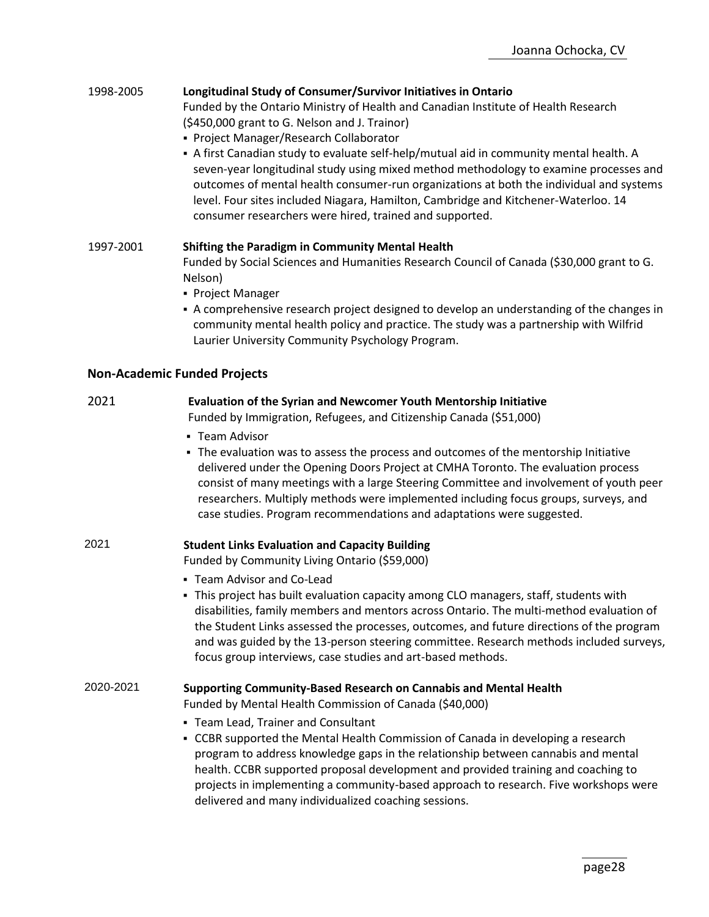### 1998-2005 **Longitudinal Study of Consumer/Survivor Initiatives in Ontario**

Funded by the Ontario Ministry of Health and Canadian Institute of Health Research (\$450,000 grant to G. Nelson and J. Trainor)

- Project Manager/Research Collaborator
- A first Canadian study to evaluate self-help/mutual aid in community mental health. A seven-year longitudinal study using mixed method methodology to examine processes and outcomes of mental health consumer-run organizations at both the individual and systems level. Four sites included Niagara, Hamilton, Cambridge and Kitchener-Waterloo. 14 consumer researchers were hired, trained and supported.

1997-2001 **Shifting the Paradigm in Community Mental Health** Funded by Social Sciences and Humanities Research Council of Canada (\$30,000 grant to G. Nelson)

- Project Manager
- A comprehensive research project designed to develop an understanding of the changes in community mental health policy and practice. The study was a partnership with Wilfrid Laurier University Community Psychology Program.

#### **Non-Academic Funded Projects**

### 2021 **Evaluation of the Syrian and Newcomer Youth Mentorship Initiative**

Funded by Immigration, Refugees, and Citizenship Canada (\$51,000)

- **Team Advisor**
- **The evaluation was to assess the process and outcomes of the mentorship Initiative** delivered under the Opening Doors Project at CMHA Toronto. The evaluation process consist of many meetings with a large Steering Committee and involvement of youth peer researchers. Multiply methods were implemented including focus groups, surveys, and case studies. Program recommendations and adaptations were suggested.

#### 2021 **Student Links Evaluation and Capacity Building**

Funded by Community Living Ontario (\$59,000)

- Team Advisor and Co-Lead
- **.** This project has built evaluation capacity among CLO managers, staff, students with disabilities, family members and mentors across Ontario. The multi-method evaluation of the Student Links assessed the processes, outcomes, and future directions of the program and was guided by the 13-person steering committee. Research methods included surveys, focus group interviews, case studies and art-based methods.

### 2020-2021 **Supporting Community-Based Research on Cannabis and Mental Health**

Funded by Mental Health Commission of Canada (\$40,000)

- Team Lead, Trainer and Consultant
- CCBR supported the Mental Health Commission of Canada in developing a research program to address knowledge gaps in the relationship between cannabis and mental health. CCBR supported proposal development and provided training and coaching to projects in implementing a community-based approach to research. Five workshops were delivered and many individualized coaching sessions.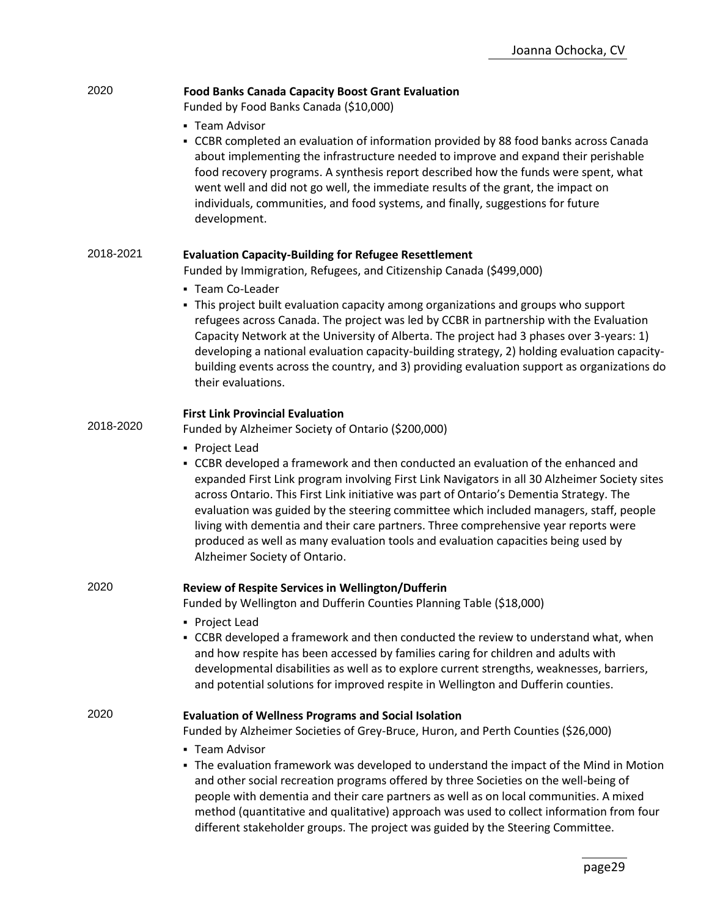| 2020      | <b>Food Banks Canada Capacity Boost Grant Evaluation</b><br>Funded by Food Banks Canada (\$10,000)                                                                                                                                                                                                                                                                                                                                                                                                                                                                                                     |  |
|-----------|--------------------------------------------------------------------------------------------------------------------------------------------------------------------------------------------------------------------------------------------------------------------------------------------------------------------------------------------------------------------------------------------------------------------------------------------------------------------------------------------------------------------------------------------------------------------------------------------------------|--|
|           | • Team Advisor<br>- CCBR completed an evaluation of information provided by 88 food banks across Canada<br>about implementing the infrastructure needed to improve and expand their perishable<br>food recovery programs. A synthesis report described how the funds were spent, what<br>went well and did not go well, the immediate results of the grant, the impact on<br>individuals, communities, and food systems, and finally, suggestions for future<br>development.                                                                                                                           |  |
| 2018-2021 | <b>Evaluation Capacity-Building for Refugee Resettlement</b><br>Funded by Immigration, Refugees, and Citizenship Canada (\$499,000)                                                                                                                                                                                                                                                                                                                                                                                                                                                                    |  |
|           | • Team Co-Leader<br>- This project built evaluation capacity among organizations and groups who support<br>refugees across Canada. The project was led by CCBR in partnership with the Evaluation<br>Capacity Network at the University of Alberta. The project had 3 phases over 3-years: 1)<br>developing a national evaluation capacity-building strategy, 2) holding evaluation capacity-<br>building events across the country, and 3) providing evaluation support as organizations do<br>their evaluations.                                                                                     |  |
| 2018-2020 | <b>First Link Provincial Evaluation</b><br>Funded by Alzheimer Society of Ontario (\$200,000)                                                                                                                                                                                                                                                                                                                                                                                                                                                                                                          |  |
|           | • Project Lead<br>- CCBR developed a framework and then conducted an evaluation of the enhanced and<br>expanded First Link program involving First Link Navigators in all 30 Alzheimer Society sites<br>across Ontario. This First Link initiative was part of Ontario's Dementia Strategy. The<br>evaluation was guided by the steering committee which included managers, staff, people<br>living with dementia and their care partners. Three comprehensive year reports were<br>produced as well as many evaluation tools and evaluation capacities being used by<br>Alzheimer Society of Ontario. |  |
| 2020      | Review of Respite Services in Wellington/Dufferin<br>Funded by Wellington and Dufferin Counties Planning Table (\$18,000)                                                                                                                                                                                                                                                                                                                                                                                                                                                                              |  |
|           | • Project Lead<br>- CCBR developed a framework and then conducted the review to understand what, when<br>and how respite has been accessed by families caring for children and adults with<br>developmental disabilities as well as to explore current strengths, weaknesses, barriers,<br>and potential solutions for improved respite in Wellington and Dufferin counties.                                                                                                                                                                                                                           |  |
| 2020      | <b>Evaluation of Wellness Programs and Social Isolation</b><br>Funded by Alzheimer Societies of Grey-Bruce, Huron, and Perth Counties (\$26,000)                                                                                                                                                                                                                                                                                                                                                                                                                                                       |  |
|           | - Team Advisor<br>- The evaluation framework was developed to understand the impact of the Mind in Motion<br>and other social recreation programs offered by three Societies on the well-being of<br>people with dementia and their care partners as well as on local communities. A mixed<br>method (quantitative and qualitative) approach was used to collect information from four<br>different stakeholder groups. The project was guided by the Steering Committee.                                                                                                                              |  |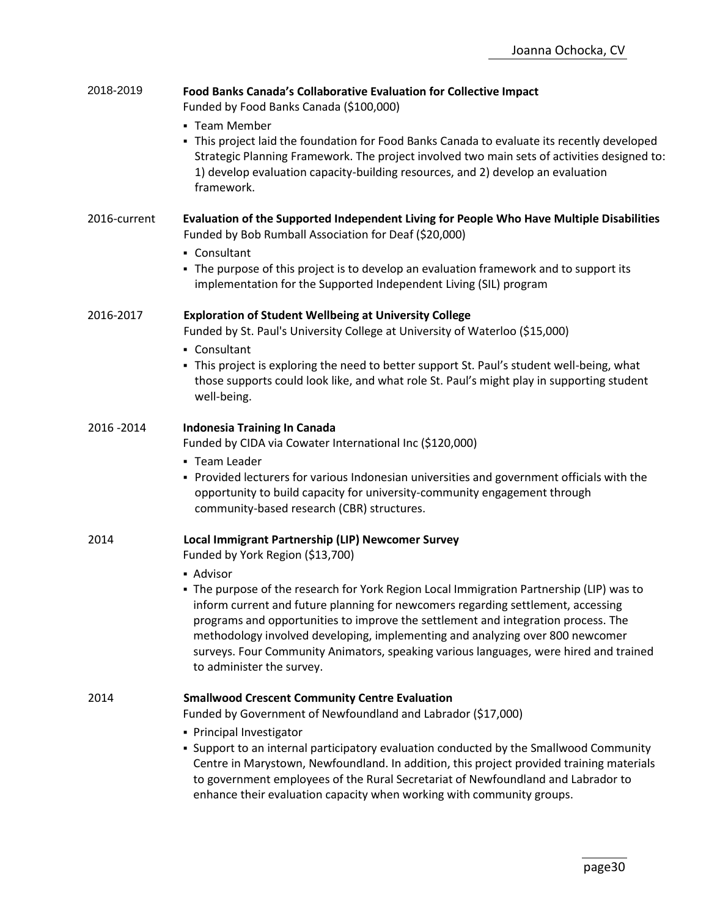| 2018-2019    | Food Banks Canada's Collaborative Evaluation for Collective Impact<br>Funded by Food Banks Canada (\$100,000)<br>• Team Member<br>- This project laid the foundation for Food Banks Canada to evaluate its recently developed<br>Strategic Planning Framework. The project involved two main sets of activities designed to:<br>1) develop evaluation capacity-building resources, and 2) develop an evaluation<br>framework.                                                                                                                                                |
|--------------|------------------------------------------------------------------------------------------------------------------------------------------------------------------------------------------------------------------------------------------------------------------------------------------------------------------------------------------------------------------------------------------------------------------------------------------------------------------------------------------------------------------------------------------------------------------------------|
| 2016-current | Evaluation of the Supported Independent Living for People Who Have Multiple Disabilities<br>Funded by Bob Rumball Association for Deaf (\$20,000)<br>• Consultant<br>• The purpose of this project is to develop an evaluation framework and to support its<br>implementation for the Supported Independent Living (SIL) program                                                                                                                                                                                                                                             |
| 2016-2017    | <b>Exploration of Student Wellbeing at University College</b><br>Funded by St. Paul's University College at University of Waterloo (\$15,000)<br>• Consultant<br>- This project is exploring the need to better support St. Paul's student well-being, what<br>those supports could look like, and what role St. Paul's might play in supporting student<br>well-being.                                                                                                                                                                                                      |
| 2016 - 2014  | Indonesia Training In Canada<br>Funded by CIDA via Cowater International Inc (\$120,000)<br>- Team Leader<br>• Provided lecturers for various Indonesian universities and government officials with the<br>opportunity to build capacity for university-community engagement through<br>community-based research (CBR) structures.                                                                                                                                                                                                                                           |
| 2014         | Local Immigrant Partnership (LIP) Newcomer Survey<br>Funded by York Region (\$13,700)<br>- Advisor<br>The purpose of the research for York Region Local Immigration Partnership (LIP) was to<br>inform current and future planning for newcomers regarding settlement, accessing<br>programs and opportunities to improve the settlement and integration process. The<br>methodology involved developing, implementing and analyzing over 800 newcomer<br>surveys. Four Community Animators, speaking various languages, were hired and trained<br>to administer the survey. |
| 2014         | <b>Smallwood Crescent Community Centre Evaluation</b><br>Funded by Government of Newfoundland and Labrador (\$17,000)<br>• Principal Investigator<br>- Support to an internal participatory evaluation conducted by the Smallwood Community<br>Centre in Marystown, Newfoundland. In addition, this project provided training materials<br>to government employees of the Rural Secretariat of Newfoundland and Labrador to<br>enhance their evaluation capacity when working with community groups.                                                                         |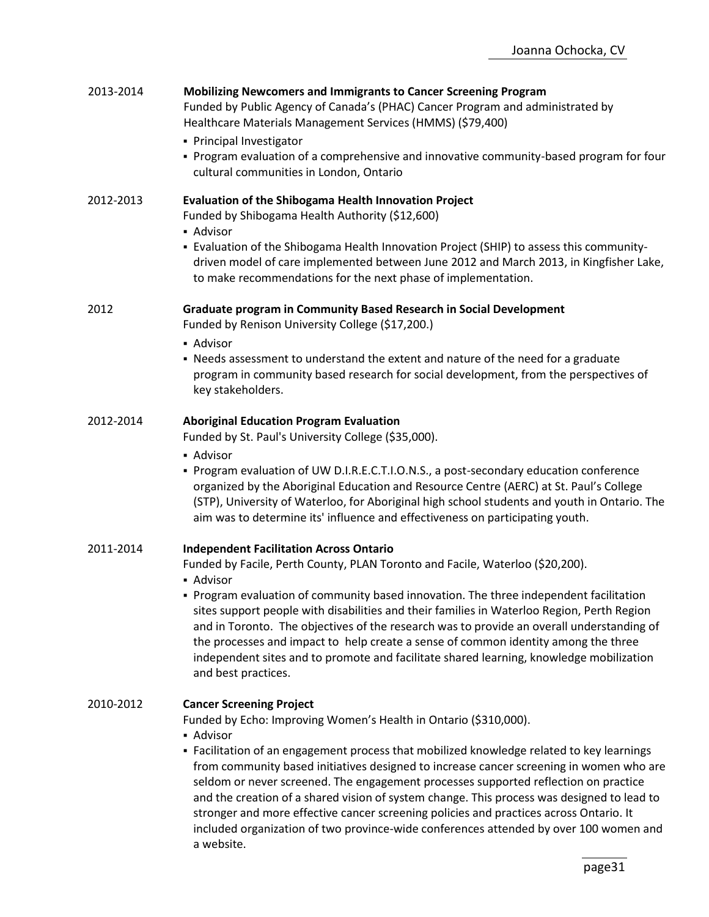| 2013-2014 | <b>Mobilizing Newcomers and Immigrants to Cancer Screening Program</b><br>Funded by Public Agency of Canada's (PHAC) Cancer Program and administrated by<br>Healthcare Materials Management Services (HMMS) (\$79,400)<br>• Principal Investigator<br>- Program evaluation of a comprehensive and innovative community-based program for four<br>cultural communities in London, Ontario                                                                                                                                                                                                                                                                                                       |
|-----------|------------------------------------------------------------------------------------------------------------------------------------------------------------------------------------------------------------------------------------------------------------------------------------------------------------------------------------------------------------------------------------------------------------------------------------------------------------------------------------------------------------------------------------------------------------------------------------------------------------------------------------------------------------------------------------------------|
| 2012-2013 | <b>Evaluation of the Shibogama Health Innovation Project</b><br>Funded by Shibogama Health Authority (\$12,600)<br>- Advisor<br>- Evaluation of the Shibogama Health Innovation Project (SHIP) to assess this community-<br>driven model of care implemented between June 2012 and March 2013, in Kingfisher Lake,<br>to make recommendations for the next phase of implementation.                                                                                                                                                                                                                                                                                                            |
| 2012      | Graduate program in Community Based Research in Social Development<br>Funded by Renison University College (\$17,200.)<br>• Advisor<br>• Needs assessment to understand the extent and nature of the need for a graduate<br>program in community based research for social development, from the perspectives of<br>key stakeholders.                                                                                                                                                                                                                                                                                                                                                          |
| 2012-2014 | <b>Aboriginal Education Program Evaluation</b><br>Funded by St. Paul's University College (\$35,000).<br>• Advisor<br>Program evaluation of UW D.I.R.E.C.T.I.O.N.S., a post-secondary education conference<br>organized by the Aboriginal Education and Resource Centre (AERC) at St. Paul's College<br>(STP), University of Waterloo, for Aboriginal high school students and youth in Ontario. The<br>aim was to determine its' influence and effectiveness on participating youth.                                                                                                                                                                                                          |
| 2011-2014 | <b>Independent Facilitation Across Ontario</b><br>Funded by Facile, Perth County, PLAN Toronto and Facile, Waterloo (\$20,200).<br>• Advisor<br>• Program evaluation of community based innovation. The three independent facilitation<br>sites support people with disabilities and their families in Waterloo Region, Perth Region<br>and in Toronto. The objectives of the research was to provide an overall understanding of<br>the processes and impact to help create a sense of common identity among the three<br>independent sites and to promote and facilitate shared learning, knowledge mobilization<br>and best practices.                                                      |
| 2010-2012 | <b>Cancer Screening Project</b><br>Funded by Echo: Improving Women's Health in Ontario (\$310,000).<br>- Advisor<br>- Facilitation of an engagement process that mobilized knowledge related to key learnings<br>from community based initiatives designed to increase cancer screening in women who are<br>seldom or never screened. The engagement processes supported reflection on practice<br>and the creation of a shared vision of system change. This process was designed to lead to<br>stronger and more effective cancer screening policies and practices across Ontario. It<br>included organization of two province-wide conferences attended by over 100 women and<br>a website. |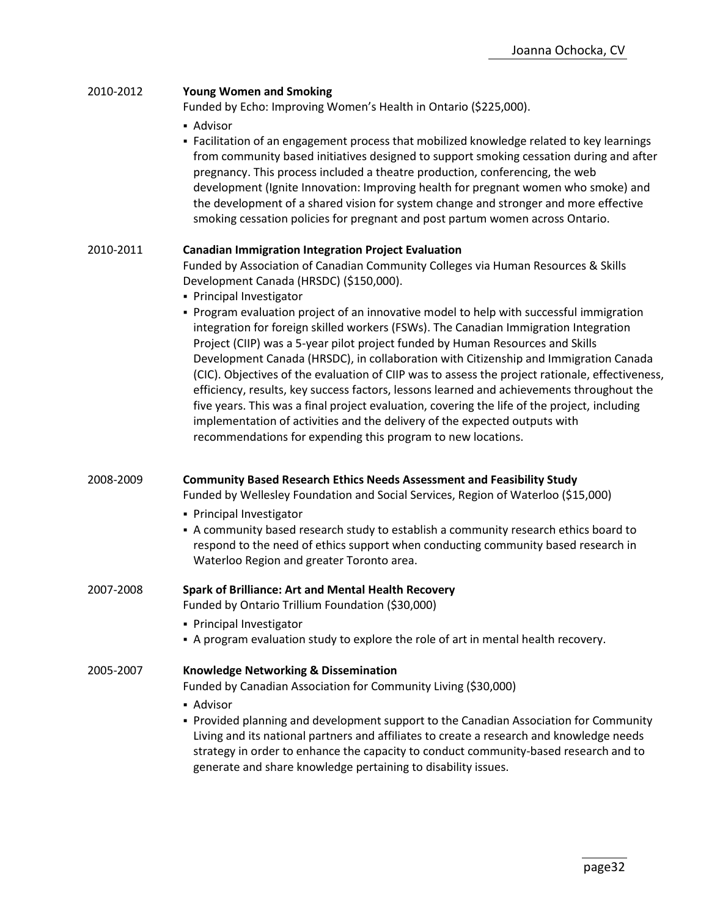| 2010-2012 | <b>Young Women and Smoking</b><br>Funded by Echo: Improving Women's Health in Ontario (\$225,000).<br>- Advisor                                                                                                                                                                                                                                                                                                                                                                                                                                                                                                                                                                                                                                                                                         |
|-----------|---------------------------------------------------------------------------------------------------------------------------------------------------------------------------------------------------------------------------------------------------------------------------------------------------------------------------------------------------------------------------------------------------------------------------------------------------------------------------------------------------------------------------------------------------------------------------------------------------------------------------------------------------------------------------------------------------------------------------------------------------------------------------------------------------------|
|           | - Facilitation of an engagement process that mobilized knowledge related to key learnings<br>from community based initiatives designed to support smoking cessation during and after<br>pregnancy. This process included a theatre production, conferencing, the web<br>development (Ignite Innovation: Improving health for pregnant women who smoke) and<br>the development of a shared vision for system change and stronger and more effective<br>smoking cessation policies for pregnant and post partum women across Ontario.                                                                                                                                                                                                                                                                     |
| 2010-2011 | <b>Canadian Immigration Integration Project Evaluation</b>                                                                                                                                                                                                                                                                                                                                                                                                                                                                                                                                                                                                                                                                                                                                              |
|           | Funded by Association of Canadian Community Colleges via Human Resources & Skills<br>Development Canada (HRSDC) (\$150,000).<br>• Principal Investigator                                                                                                                                                                                                                                                                                                                                                                                                                                                                                                                                                                                                                                                |
|           | • Program evaluation project of an innovative model to help with successful immigration<br>integration for foreign skilled workers (FSWs). The Canadian Immigration Integration<br>Project (CIIP) was a 5-year pilot project funded by Human Resources and Skills<br>Development Canada (HRSDC), in collaboration with Citizenship and Immigration Canada<br>(CIC). Objectives of the evaluation of CIIP was to assess the project rationale, effectiveness,<br>efficiency, results, key success factors, lessons learned and achievements throughout the<br>five years. This was a final project evaluation, covering the life of the project, including<br>implementation of activities and the delivery of the expected outputs with<br>recommendations for expending this program to new locations. |
| 2008-2009 | <b>Community Based Research Ethics Needs Assessment and Feasibility Study</b><br>Funded by Wellesley Foundation and Social Services, Region of Waterloo (\$15,000)                                                                                                                                                                                                                                                                                                                                                                                                                                                                                                                                                                                                                                      |
|           | • Principal Investigator                                                                                                                                                                                                                                                                                                                                                                                                                                                                                                                                                                                                                                                                                                                                                                                |
|           | A community based research study to establish a community research ethics board to<br>respond to the need of ethics support when conducting community based research in<br>Waterloo Region and greater Toronto area.                                                                                                                                                                                                                                                                                                                                                                                                                                                                                                                                                                                    |
| 2007-2008 | <b>Spark of Brilliance: Art and Mental Health Recovery</b><br>Funded by Ontario Trillium Foundation (\$30,000)                                                                                                                                                                                                                                                                                                                                                                                                                                                                                                                                                                                                                                                                                          |
|           | • Principal Investigator<br>- A program evaluation study to explore the role of art in mental health recovery.                                                                                                                                                                                                                                                                                                                                                                                                                                                                                                                                                                                                                                                                                          |
| 2005-2007 | <b>Knowledge Networking &amp; Dissemination</b>                                                                                                                                                                                                                                                                                                                                                                                                                                                                                                                                                                                                                                                                                                                                                         |
|           | Funded by Canadian Association for Community Living (\$30,000)                                                                                                                                                                                                                                                                                                                                                                                                                                                                                                                                                                                                                                                                                                                                          |
|           | - Advisor<br>Provided planning and development support to the Canadian Association for Community<br>Living and its national partners and affiliates to create a research and knowledge needs<br>strategy in order to enhance the capacity to conduct community-based research and to<br>generate and share knowledge pertaining to disability issues.                                                                                                                                                                                                                                                                                                                                                                                                                                                   |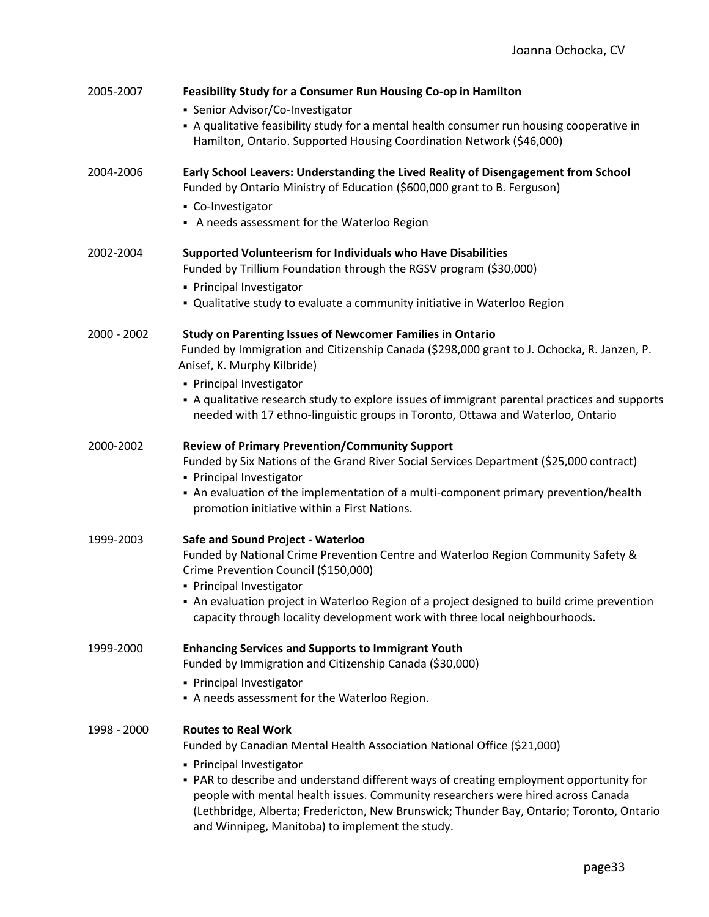| 2005-2007   | Feasibility Study for a Consumer Run Housing Co-op in Hamilton                              |
|-------------|---------------------------------------------------------------------------------------------|
|             | • Senior Advisor/Co-Investigator                                                            |
|             | - A qualitative feasibility study for a mental health consumer run housing cooperative in   |
|             | Hamilton, Ontario. Supported Housing Coordination Network (\$46,000)                        |
|             |                                                                                             |
| 2004-2006   | Early School Leavers: Understanding the Lived Reality of Disengagement from School          |
|             | Funded by Ontario Ministry of Education (\$600,000 grant to B. Ferguson)                    |
|             | • Co-Investigator                                                                           |
|             | A needs assessment for the Waterloo Region                                                  |
|             |                                                                                             |
| 2002-2004   | Supported Volunteerism for Individuals who Have Disabilities                                |
|             | Funded by Trillium Foundation through the RGSV program (\$30,000)                           |
|             | • Principal Investigator                                                                    |
|             | . Qualitative study to evaluate a community initiative in Waterloo Region                   |
| 2000 - 2002 | <b>Study on Parenting Issues of Newcomer Families in Ontario</b>                            |
|             | Funded by Immigration and Citizenship Canada (\$298,000 grant to J. Ochocka, R. Janzen, P.  |
|             | Anisef, K. Murphy Kilbride)                                                                 |
|             | • Principal Investigator                                                                    |
|             | A qualitative research study to explore issues of immigrant parental practices and supports |
|             | needed with 17 ethno-linguistic groups in Toronto, Ottawa and Waterloo, Ontario             |
| 2000-2002   | <b>Review of Primary Prevention/Community Support</b>                                       |
|             | Funded by Six Nations of the Grand River Social Services Department (\$25,000 contract)     |
|             | • Principal Investigator                                                                    |
|             | • An evaluation of the implementation of a multi-component primary prevention/health        |
|             | promotion initiative within a First Nations.                                                |
| 1999-2003   | Safe and Sound Project - Waterloo                                                           |
|             | Funded by National Crime Prevention Centre and Waterloo Region Community Safety &           |
|             | Crime Prevention Council (\$150,000)                                                        |
|             | • Principal Investigator                                                                    |
|             | • An evaluation project in Waterloo Region of a project designed to build crime prevention  |
|             | capacity through locality development work with three local neighbourhoods.                 |
| 1999-2000   | <b>Enhancing Services and Supports to Immigrant Youth</b>                                   |
|             | Funded by Immigration and Citizenship Canada (\$30,000)                                     |
|             | • Principal Investigator                                                                    |
|             | A needs assessment for the Waterloo Region.                                                 |
| 1998 - 2000 | <b>Routes to Real Work</b>                                                                  |
|             | Funded by Canadian Mental Health Association National Office (\$21,000)                     |
|             | • Principal Investigator                                                                    |
|             | . PAR to describe and understand different ways of creating employment opportunity for      |
|             | people with mental health issues. Community researchers were hired across Canada            |
|             | (Lethbridge, Alberta; Fredericton, New Brunswick; Thunder Bay, Ontario; Toronto, Ontario    |
|             | and Winnipeg, Manitoba) to implement the study.                                             |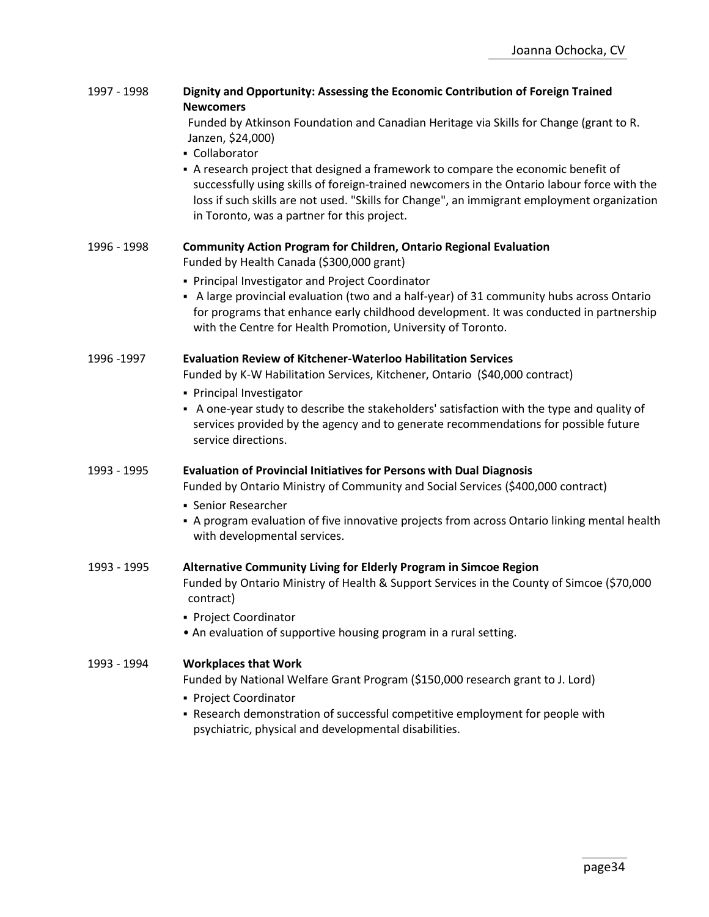| Funded by Atkinson Foundation and Canadian Heritage via Skills for Change (grant to R.<br>Janzen, \$24,000)<br>- Collaborator<br>- A research project that designed a framework to compare the economic benefit of<br>successfully using skills of foreign-trained newcomers in the Ontario labour force with the<br>loss if such skills are not used. "Skills for Change", an immigrant employment organization<br>in Toronto, was a partner for this project.<br><b>Community Action Program for Children, Ontario Regional Evaluation</b><br>1996 - 1998<br>Funded by Health Canada (\$300,000 grant)<br>• Principal Investigator and Project Coordinator<br>A large provincial evaluation (two and a half-year) of 31 community hubs across Ontario<br>for programs that enhance early childhood development. It was conducted in partnership<br>with the Centre for Health Promotion, University of Toronto.<br><b>Evaluation Review of Kitchener-Waterloo Habilitation Services</b><br>1996 - 1997<br>Funded by K-W Habilitation Services, Kitchener, Ontario (\$40,000 contract)<br>• Principal Investigator<br>A one-year study to describe the stakeholders' satisfaction with the type and quality of<br>services provided by the agency and to generate recommendations for possible future<br>service directions.<br><b>Evaluation of Provincial Initiatives for Persons with Dual Diagnosis</b><br>1993 - 1995<br>Funded by Ontario Ministry of Community and Social Services (\$400,000 contract)<br>• Senior Researcher<br>- A program evaluation of five innovative projects from across Ontario linking mental health<br>with developmental services.<br>Alternative Community Living for Elderly Program in Simcoe Region<br>1993 - 1995<br>Funded by Ontario Ministry of Health & Support Services in the County of Simcoe (\$70,000<br>contract)<br>• Project Coordinator<br>• An evaluation of supportive housing program in a rural setting.<br><b>Workplaces that Work</b><br>1993 - 1994<br>Funded by National Welfare Grant Program (\$150,000 research grant to J. Lord)<br>• Project Coordinator<br>- Research demonstration of successful competitive employment for people with<br>psychiatric, physical and developmental disabilities. | 1997 - 1998 | Dignity and Opportunity: Assessing the Economic Contribution of Foreign Trained<br><b>Newcomers</b> |
|-----------------------------------------------------------------------------------------------------------------------------------------------------------------------------------------------------------------------------------------------------------------------------------------------------------------------------------------------------------------------------------------------------------------------------------------------------------------------------------------------------------------------------------------------------------------------------------------------------------------------------------------------------------------------------------------------------------------------------------------------------------------------------------------------------------------------------------------------------------------------------------------------------------------------------------------------------------------------------------------------------------------------------------------------------------------------------------------------------------------------------------------------------------------------------------------------------------------------------------------------------------------------------------------------------------------------------------------------------------------------------------------------------------------------------------------------------------------------------------------------------------------------------------------------------------------------------------------------------------------------------------------------------------------------------------------------------------------------------------------------------------------------------------------------------------------------------------------------------------------------------------------------------------------------------------------------------------------------------------------------------------------------------------------------------------------------------------------------------------------------------------------------------------------------------------------------------------------------------------------------------------------------|-------------|-----------------------------------------------------------------------------------------------------|
|                                                                                                                                                                                                                                                                                                                                                                                                                                                                                                                                                                                                                                                                                                                                                                                                                                                                                                                                                                                                                                                                                                                                                                                                                                                                                                                                                                                                                                                                                                                                                                                                                                                                                                                                                                                                                                                                                                                                                                                                                                                                                                                                                                                                                                                                       |             |                                                                                                     |
|                                                                                                                                                                                                                                                                                                                                                                                                                                                                                                                                                                                                                                                                                                                                                                                                                                                                                                                                                                                                                                                                                                                                                                                                                                                                                                                                                                                                                                                                                                                                                                                                                                                                                                                                                                                                                                                                                                                                                                                                                                                                                                                                                                                                                                                                       |             |                                                                                                     |
|                                                                                                                                                                                                                                                                                                                                                                                                                                                                                                                                                                                                                                                                                                                                                                                                                                                                                                                                                                                                                                                                                                                                                                                                                                                                                                                                                                                                                                                                                                                                                                                                                                                                                                                                                                                                                                                                                                                                                                                                                                                                                                                                                                                                                                                                       |             |                                                                                                     |
|                                                                                                                                                                                                                                                                                                                                                                                                                                                                                                                                                                                                                                                                                                                                                                                                                                                                                                                                                                                                                                                                                                                                                                                                                                                                                                                                                                                                                                                                                                                                                                                                                                                                                                                                                                                                                                                                                                                                                                                                                                                                                                                                                                                                                                                                       |             |                                                                                                     |
|                                                                                                                                                                                                                                                                                                                                                                                                                                                                                                                                                                                                                                                                                                                                                                                                                                                                                                                                                                                                                                                                                                                                                                                                                                                                                                                                                                                                                                                                                                                                                                                                                                                                                                                                                                                                                                                                                                                                                                                                                                                                                                                                                                                                                                                                       |             |                                                                                                     |
|                                                                                                                                                                                                                                                                                                                                                                                                                                                                                                                                                                                                                                                                                                                                                                                                                                                                                                                                                                                                                                                                                                                                                                                                                                                                                                                                                                                                                                                                                                                                                                                                                                                                                                                                                                                                                                                                                                                                                                                                                                                                                                                                                                                                                                                                       |             |                                                                                                     |
|                                                                                                                                                                                                                                                                                                                                                                                                                                                                                                                                                                                                                                                                                                                                                                                                                                                                                                                                                                                                                                                                                                                                                                                                                                                                                                                                                                                                                                                                                                                                                                                                                                                                                                                                                                                                                                                                                                                                                                                                                                                                                                                                                                                                                                                                       |             |                                                                                                     |
|                                                                                                                                                                                                                                                                                                                                                                                                                                                                                                                                                                                                                                                                                                                                                                                                                                                                                                                                                                                                                                                                                                                                                                                                                                                                                                                                                                                                                                                                                                                                                                                                                                                                                                                                                                                                                                                                                                                                                                                                                                                                                                                                                                                                                                                                       |             |                                                                                                     |
|                                                                                                                                                                                                                                                                                                                                                                                                                                                                                                                                                                                                                                                                                                                                                                                                                                                                                                                                                                                                                                                                                                                                                                                                                                                                                                                                                                                                                                                                                                                                                                                                                                                                                                                                                                                                                                                                                                                                                                                                                                                                                                                                                                                                                                                                       |             |                                                                                                     |
|                                                                                                                                                                                                                                                                                                                                                                                                                                                                                                                                                                                                                                                                                                                                                                                                                                                                                                                                                                                                                                                                                                                                                                                                                                                                                                                                                                                                                                                                                                                                                                                                                                                                                                                                                                                                                                                                                                                                                                                                                                                                                                                                                                                                                                                                       |             |                                                                                                     |
|                                                                                                                                                                                                                                                                                                                                                                                                                                                                                                                                                                                                                                                                                                                                                                                                                                                                                                                                                                                                                                                                                                                                                                                                                                                                                                                                                                                                                                                                                                                                                                                                                                                                                                                                                                                                                                                                                                                                                                                                                                                                                                                                                                                                                                                                       |             |                                                                                                     |
|                                                                                                                                                                                                                                                                                                                                                                                                                                                                                                                                                                                                                                                                                                                                                                                                                                                                                                                                                                                                                                                                                                                                                                                                                                                                                                                                                                                                                                                                                                                                                                                                                                                                                                                                                                                                                                                                                                                                                                                                                                                                                                                                                                                                                                                                       |             |                                                                                                     |
|                                                                                                                                                                                                                                                                                                                                                                                                                                                                                                                                                                                                                                                                                                                                                                                                                                                                                                                                                                                                                                                                                                                                                                                                                                                                                                                                                                                                                                                                                                                                                                                                                                                                                                                                                                                                                                                                                                                                                                                                                                                                                                                                                                                                                                                                       |             |                                                                                                     |
|                                                                                                                                                                                                                                                                                                                                                                                                                                                                                                                                                                                                                                                                                                                                                                                                                                                                                                                                                                                                                                                                                                                                                                                                                                                                                                                                                                                                                                                                                                                                                                                                                                                                                                                                                                                                                                                                                                                                                                                                                                                                                                                                                                                                                                                                       |             |                                                                                                     |
|                                                                                                                                                                                                                                                                                                                                                                                                                                                                                                                                                                                                                                                                                                                                                                                                                                                                                                                                                                                                                                                                                                                                                                                                                                                                                                                                                                                                                                                                                                                                                                                                                                                                                                                                                                                                                                                                                                                                                                                                                                                                                                                                                                                                                                                                       |             |                                                                                                     |
|                                                                                                                                                                                                                                                                                                                                                                                                                                                                                                                                                                                                                                                                                                                                                                                                                                                                                                                                                                                                                                                                                                                                                                                                                                                                                                                                                                                                                                                                                                                                                                                                                                                                                                                                                                                                                                                                                                                                                                                                                                                                                                                                                                                                                                                                       |             |                                                                                                     |
|                                                                                                                                                                                                                                                                                                                                                                                                                                                                                                                                                                                                                                                                                                                                                                                                                                                                                                                                                                                                                                                                                                                                                                                                                                                                                                                                                                                                                                                                                                                                                                                                                                                                                                                                                                                                                                                                                                                                                                                                                                                                                                                                                                                                                                                                       |             |                                                                                                     |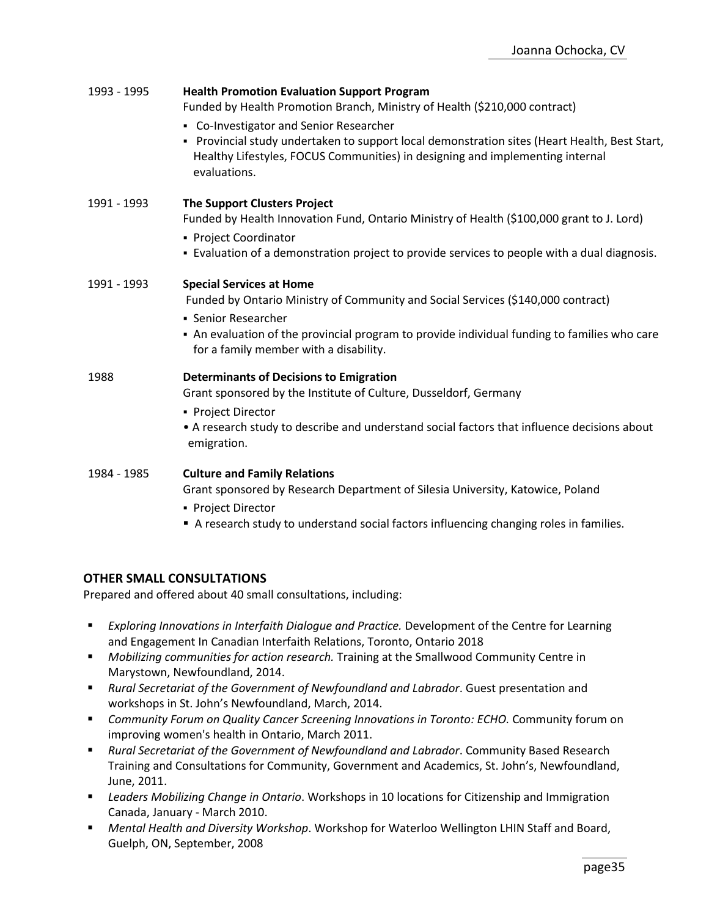| 1993 - 1995 | <b>Health Promotion Evaluation Support Program</b><br>Funded by Health Promotion Branch, Ministry of Health (\$210,000 contract)                                                                                                                                                     |
|-------------|--------------------------------------------------------------------------------------------------------------------------------------------------------------------------------------------------------------------------------------------------------------------------------------|
|             | • Co-Investigator and Senior Researcher<br>- Provincial study undertaken to support local demonstration sites (Heart Health, Best Start,<br>Healthy Lifestyles, FOCUS Communities) in designing and implementing internal<br>evaluations.                                            |
| 1991 - 1993 | <b>The Support Clusters Project</b><br>Funded by Health Innovation Fund, Ontario Ministry of Health (\$100,000 grant to J. Lord)<br>• Project Coordinator<br>- Evaluation of a demonstration project to provide services to people with a dual diagnosis.                            |
| 1991 - 1993 | <b>Special Services at Home</b><br>Funded by Ontario Ministry of Community and Social Services (\$140,000 contract)<br>• Senior Researcher<br>• An evaluation of the provincial program to provide individual funding to families who care<br>for a family member with a disability. |
| 1988        | <b>Determinants of Decisions to Emigration</b><br>Grant sponsored by the Institute of Culture, Dusseldorf, Germany<br>• Project Director<br>• A research study to describe and understand social factors that influence decisions about<br>emigration.                               |
| 1984 - 1985 | <b>Culture and Family Relations</b><br>Grant sponsored by Research Department of Silesia University, Katowice, Poland<br>• Project Director<br>A research study to understand social factors influencing changing roles in families.                                                 |

# **OTHER SMALL CONSULTATIONS**

Prepared and offered about 40 small consultations, including:

- **Exploring Innovations in Interfaith Dialogue and Practice. Development of the Centre for Learning** and Engagement In Canadian Interfaith Relations, Toronto, Ontario 2018
- *Mobilizing communities for action research.* Training at the Smallwood Community Centre in Marystown, Newfoundland, 2014.
- *Rural Secretariat of the Government of Newfoundland and Labrador*. Guest presentation and workshops in St. John's Newfoundland, March, 2014.
- *Community Forum on Quality Cancer Screening Innovations in Toronto: ECHO.* Community forum on improving women's health in Ontario, March 2011.
- *Rural Secretariat of the Government of Newfoundland and Labrador*. Community Based Research Training and Consultations for Community, Government and Academics, St. John's, Newfoundland, June, 2011.
- *Leaders Mobilizing Change in Ontario*. Workshops in 10 locations for Citizenship and Immigration Canada, January - March 2010.
- *Mental Health and Diversity Workshop*. Workshop for Waterloo Wellington LHIN Staff and Board, Guelph, ON, September, 2008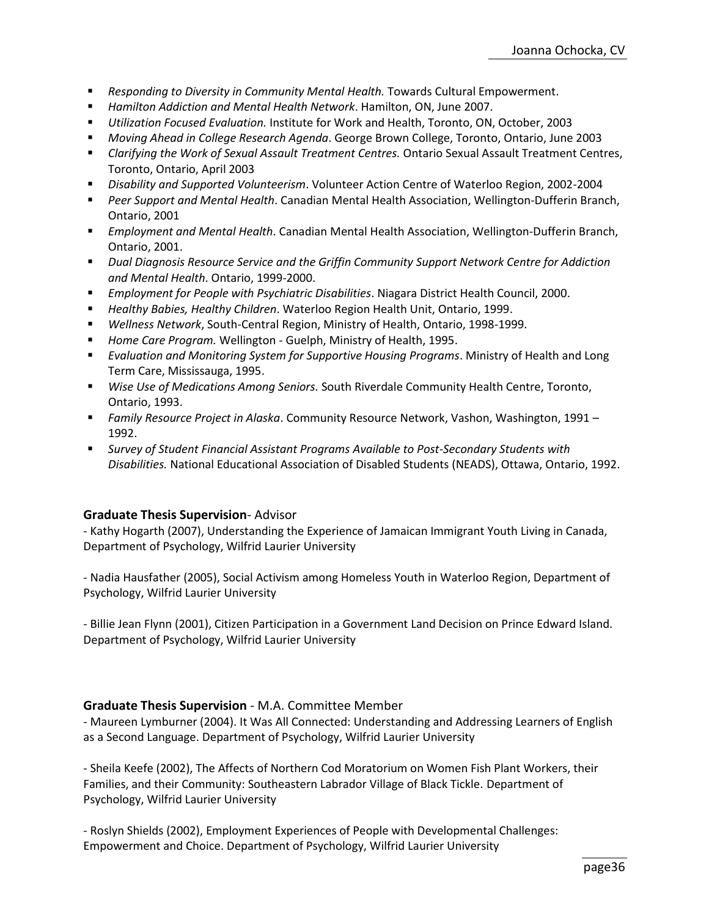- *Responding to Diversity in Community Mental Health.* Towards Cultural Empowerment.
- *Hamilton Addiction and Mental Health Network*. Hamilton, ON, June 2007.
- *Utilization Focused Evaluation.* Institute for Work and Health, Toronto, ON, October, 2003
- *Moving Ahead in College Research Agenda*. George Brown College, Toronto, Ontario, June 2003
- *Clarifying the Work of Sexual Assault Treatment Centres.* Ontario Sexual Assault Treatment Centres, Toronto, Ontario, April 2003
- *Disability and Supported Volunteerism*. Volunteer Action Centre of Waterloo Region, 2002-2004
- *Peer Support and Mental Health*. Canadian Mental Health Association, Wellington-Dufferin Branch, Ontario, 2001
- *Employment and Mental Health*. Canadian Mental Health Association, Wellington-Dufferin Branch, Ontario, 2001.
- *Dual Diagnosis Resource Service and the Griffin Community Support Network Centre for Addiction and Mental Health*. Ontario, 1999-2000.
- *Employment for People with Psychiatric Disabilities*. Niagara District Health Council, 2000.
- *Healthy Babies, Healthy Children*. Waterloo Region Health Unit, Ontario, 1999.
- *Wellness Network*, South-Central Region, Ministry of Health, Ontario, 1998-1999.
- *Home Care Program.* Wellington Guelph, Ministry of Health, 1995.
- *Evaluation and Monitoring System for Supportive Housing Programs*. Ministry of Health and Long Term Care, Mississauga, 1995.
- *Wise Use of Medications Among Seniors.* South Riverdale Community Health Centre, Toronto, Ontario, 1993.
- *Family Resource Project in Alaska*. Community Resource Network, Vashon, Washington, 1991 1992.
- Survey of Student Financial Assistant Programs Available to Post-Secondary Students with *Disabilities.* National Educational Association of Disabled Students (NEADS), Ottawa, Ontario, 1992.

#### **Graduate Thesis Supervision**- Advisor

- Kathy Hogarth (2007), Understanding the Experience of Jamaican Immigrant Youth Living in Canada, Department of Psychology, Wilfrid Laurier University

- Nadia Hausfather (2005), Social Activism among Homeless Youth in Waterloo Region, Department of Psychology, Wilfrid Laurier University

- Billie Jean Flynn (2001), Citizen Participation in a Government Land Decision on Prince Edward Island. Department of Psychology, Wilfrid Laurier University

# **Graduate Thesis Supervision** - M.A. Committee Member

- Maureen Lymburner (2004). It Was All Connected: Understanding and Addressing Learners of English as a Second Language. Department of Psychology, Wilfrid Laurier University

- Sheila Keefe (2002), The Affects of Northern Cod Moratorium on Women Fish Plant Workers, their Families, and their Community: Southeastern Labrador Village of Black Tickle. Department of Psychology, Wilfrid Laurier University

- Roslyn Shields (2002), Employment Experiences of People with Developmental Challenges: Empowerment and Choice. Department of Psychology, Wilfrid Laurier University